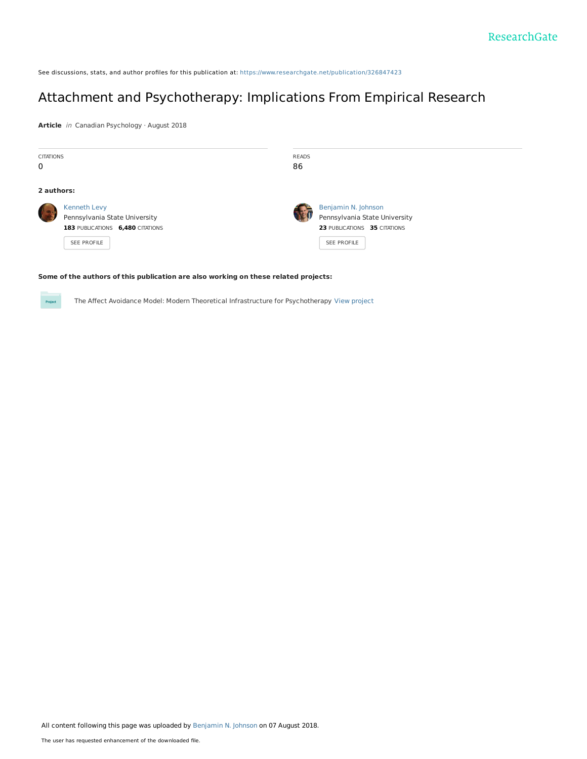See discussions, stats, and author profiles for this publication at: [https://www.researchgate.net/publication/326847423](https://www.researchgate.net/publication/326847423_Attachment_and_Psychotherapy_Implications_From_Empirical_Research?enrichId=rgreq-586f14531cf1ce2af6ba8b016de4956d-XXX&enrichSource=Y292ZXJQYWdlOzMyNjg0NzQyMztBUzo2NTY4NTU5NDA0OTMzMTNAMTUzMzYxODA2ODIzMA%3D%3D&el=1_x_2&_esc=publicationCoverPdf)

# Attachment and [Psychotherapy:](https://www.researchgate.net/publication/326847423_Attachment_and_Psychotherapy_Implications_From_Empirical_Research?enrichId=rgreq-586f14531cf1ce2af6ba8b016de4956d-XXX&enrichSource=Y292ZXJQYWdlOzMyNjg0NzQyMztBUzo2NTY4NTU5NDA0OTMzMTNAMTUzMzYxODA2ODIzMA%3D%3D&el=1_x_3&_esc=publicationCoverPdf) Implications From Empirical Research

**Article** in Canadian Psychology · August 2018

| <b>CITATIONS</b><br>0 |                                                                                                         | <b>READS</b><br>86 |                                                                                                     |
|-----------------------|---------------------------------------------------------------------------------------------------------|--------------------|-----------------------------------------------------------------------------------------------------|
| 2 authors:            |                                                                                                         |                    |                                                                                                     |
|                       | <b>Kenneth Levy</b><br>Pennsylvania State University<br>183 PUBLICATIONS 6,480 CITATIONS<br>SEE PROFILE |                    | Benjamin N. Johnson<br>Pennsylvania State University<br>23 PUBLICATIONS 35 CITATIONS<br>SEE PROFILE |

#### **Some of the authors of this publication are also working on these related projects:**

**Project** 

The Affect Avoidance Model: Modern Theoretical Infrastructure for Psychotherapy View [project](https://www.researchgate.net/project/The-Affect-Avoidance-Model-Modern-Theoretical-Infrastructure-for-Psychotherapy?enrichId=rgreq-586f14531cf1ce2af6ba8b016de4956d-XXX&enrichSource=Y292ZXJQYWdlOzMyNjg0NzQyMztBUzo2NTY4NTU5NDA0OTMzMTNAMTUzMzYxODA2ODIzMA%3D%3D&el=1_x_9&_esc=publicationCoverPdf)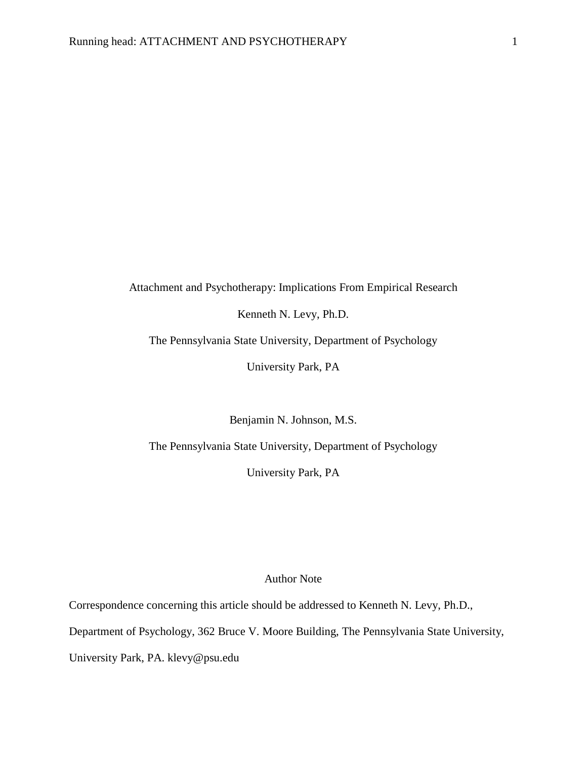## Attachment and Psychotherapy: Implications From Empirical Research

Kenneth N. Levy, Ph.D.

The Pennsylvania State University, Department of Psychology

University Park, PA

Benjamin N. Johnson, M.S.

The Pennsylvania State University, Department of Psychology

University Park, PA

## Author Note

Correspondence concerning this article should be addressed to Kenneth N. Levy, Ph.D., Department of Psychology, 362 Bruce V. Moore Building, The Pennsylvania State University, University Park, PA. klevy@psu.edu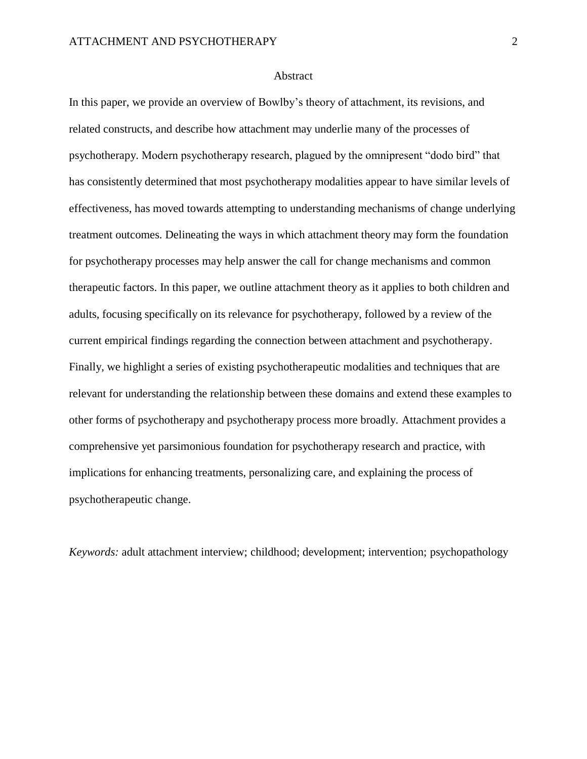## Abstract

In this paper, we provide an overview of Bowlby's theory of attachment, its revisions, and related constructs, and describe how attachment may underlie many of the processes of psychotherapy. Modern psychotherapy research, plagued by the omnipresent "dodo bird" that has consistently determined that most psychotherapy modalities appear to have similar levels of effectiveness, has moved towards attempting to understanding mechanisms of change underlying treatment outcomes. Delineating the ways in which attachment theory may form the foundation for psychotherapy processes may help answer the call for change mechanisms and common therapeutic factors. In this paper, we outline attachment theory as it applies to both children and adults, focusing specifically on its relevance for psychotherapy, followed by a review of the current empirical findings regarding the connection between attachment and psychotherapy. Finally, we highlight a series of existing psychotherapeutic modalities and techniques that are relevant for understanding the relationship between these domains and extend these examples to other forms of psychotherapy and psychotherapy process more broadly. Attachment provides a comprehensive yet parsimonious foundation for psychotherapy research and practice, with implications for enhancing treatments, personalizing care, and explaining the process of psychotherapeutic change.

*Keywords:* adult attachment interview; childhood; development; intervention; psychopathology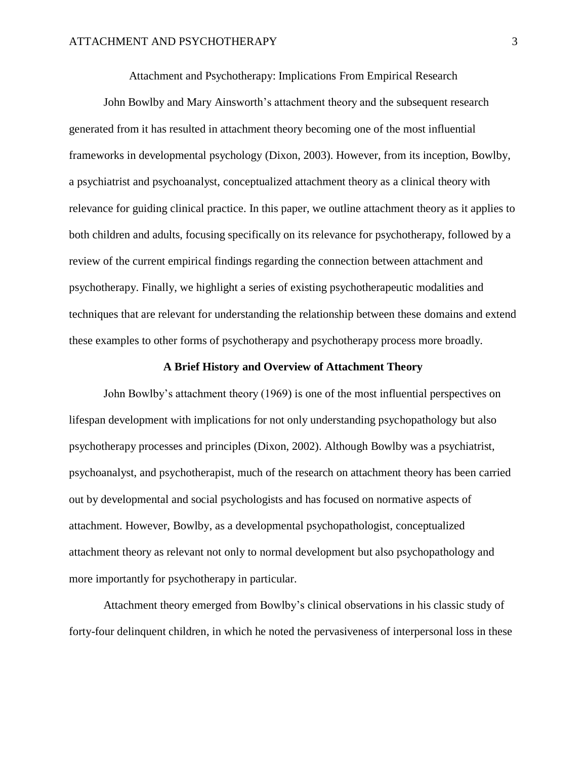Attachment and Psychotherapy: Implications From Empirical Research

John Bowlby and Mary Ainsworth's attachment theory and the subsequent research generated from it has resulted in attachment theory becoming one of the most influential frameworks in developmental psychology (Dixon, 2003). However, from its inception, Bowlby, a psychiatrist and psychoanalyst, conceptualized attachment theory as a clinical theory with relevance for guiding clinical practice. In this paper, we outline attachment theory as it applies to both children and adults, focusing specifically on its relevance for psychotherapy, followed by a review of the current empirical findings regarding the connection between attachment and psychotherapy. Finally, we highlight a series of existing psychotherapeutic modalities and techniques that are relevant for understanding the relationship between these domains and extend these examples to other forms of psychotherapy and psychotherapy process more broadly.

## **A Brief History and Overview of Attachment Theory**

John Bowlby's attachment theory (1969) is one of the most influential perspectives on lifespan development with implications for not only understanding psychopathology but also psychotherapy processes and principles (Dixon, 2002). Although Bowlby was a psychiatrist, psychoanalyst, and psychotherapist, much of the research on attachment theory has been carried out by developmental and social psychologists and has focused on normative aspects of attachment. However, Bowlby, as a developmental psychopathologist, conceptualized attachment theory as relevant not only to normal development but also psychopathology and more importantly for psychotherapy in particular.

Attachment theory emerged from Bowlby's clinical observations in his classic study of forty-four delinquent children, in which he noted the pervasiveness of interpersonal loss in these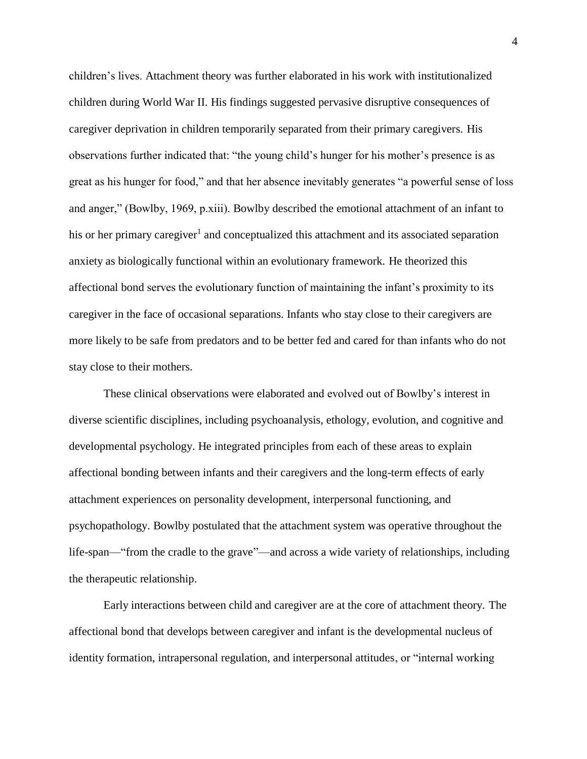children's lives. Attachment theory was further elaborated in his work with institutionalized children during World War II. His findings suggested pervasive disruptive consequences of caregiver deprivation in children temporarily separated from their primary caregivers. His observations further indicated that: "the young child's hunger for his mother's presence is as great as his hunger for food," and that her absence inevitably generates "a powerful sense of loss and anger," (Bowlby, 1969, p.xiii). Bowlby described the emotional attachment of an infant to his or her primary caregiver<sup>1</sup> and conceptualized this attachment and its associated separation anxiety as biologically functional within an evolutionary framework. He theorized this affectional bond serves the evolutionary function of maintaining the infant's proximity to its caregiver in the face of occasional separations. Infants who stay close to their caregivers are more likely to be safe from predators and to be better fed and cared for than infants who do not stay close to their mothers.

These clinical observations were elaborated and evolved out of Bowlby's interest in diverse scientific disciplines, including psychoanalysis, ethology, evolution, and cognitive and developmental psychology. He integrated principles from each of these areas to explain affectional bonding between infants and their caregivers and the long-term effects of early attachment experiences on personality development, interpersonal functioning, and psychopathology. Bowlby postulated that the attachment system was operative throughout the life-span—"from the cradle to the grave"—and across a wide variety of relationships, including the therapeutic relationship.

Early interactions between child and caregiver are at the core of attachment theory. The affectional bond that develops between caregiver and infant is the developmental nucleus of identity formation, intrapersonal regulation, and interpersonal attitudes, or "internal working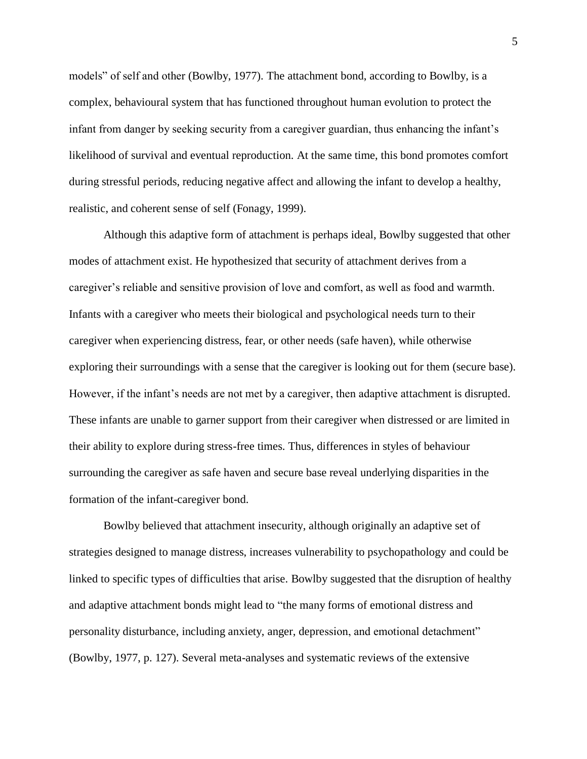models" of self and other (Bowlby, 1977). The attachment bond, according to Bowlby, is a complex, behavioural system that has functioned throughout human evolution to protect the infant from danger by seeking security from a caregiver guardian, thus enhancing the infant's likelihood of survival and eventual reproduction. At the same time, this bond promotes comfort during stressful periods, reducing negative affect and allowing the infant to develop a healthy, realistic, and coherent sense of self (Fonagy, 1999).

Although this adaptive form of attachment is perhaps ideal, Bowlby suggested that other modes of attachment exist. He hypothesized that security of attachment derives from a caregiver's reliable and sensitive provision of love and comfort, as well as food and warmth. Infants with a caregiver who meets their biological and psychological needs turn to their caregiver when experiencing distress, fear, or other needs (safe haven), while otherwise exploring their surroundings with a sense that the caregiver is looking out for them (secure base). However, if the infant's needs are not met by a caregiver, then adaptive attachment is disrupted. These infants are unable to garner support from their caregiver when distressed or are limited in their ability to explore during stress-free times. Thus, differences in styles of behaviour surrounding the caregiver as safe haven and secure base reveal underlying disparities in the formation of the infant-caregiver bond.

Bowlby believed that attachment insecurity, although originally an adaptive set of strategies designed to manage distress, increases vulnerability to psychopathology and could be linked to specific types of difficulties that arise. Bowlby suggested that the disruption of healthy and adaptive attachment bonds might lead to "the many forms of emotional distress and personality disturbance, including anxiety, anger, depression, and emotional detachment" (Bowlby, 1977, p. 127). Several meta-analyses and systematic reviews of the extensive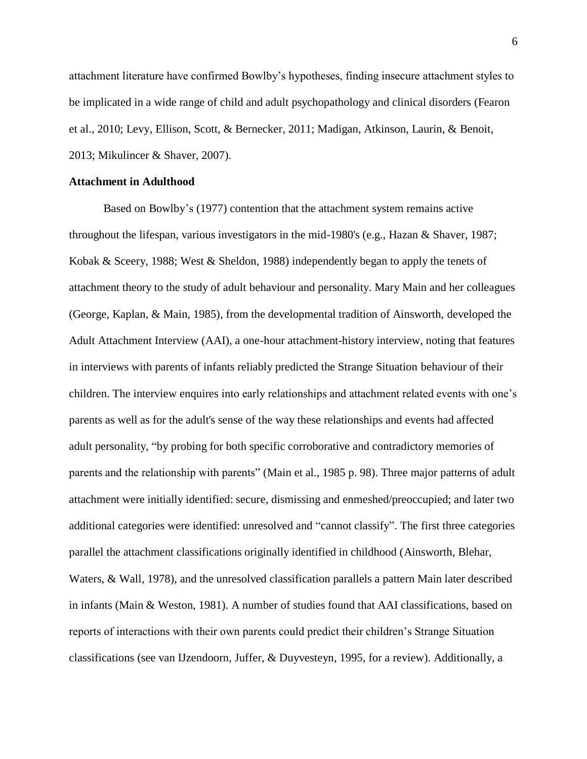attachment literature have confirmed Bowlby's hypotheses, finding insecure attachment styles to be implicated in a wide range of child and adult psychopathology and clinical disorders (Fearon et al., 2010; Levy, Ellison, Scott, & Bernecker, 2011; Madigan, Atkinson, Laurin, & Benoit, 2013; Mikulincer & Shaver, 2007).

## **Attachment in Adulthood**

Based on Bowlby's (1977) contention that the attachment system remains active throughout the lifespan, various investigators in the mid-1980's (e.g., Hazan & Shaver, 1987; Kobak & Sceery, 1988; West & Sheldon, 1988) independently began to apply the tenets of attachment theory to the study of adult behaviour and personality. Mary Main and her colleagues (George, Kaplan, & Main, 1985), from the developmental tradition of Ainsworth, developed the Adult Attachment Interview (AAI), a one-hour attachment-history interview, noting that features in interviews with parents of infants reliably predicted the Strange Situation behaviour of their children. The interview enquires into early relationships and attachment related events with one's parents as well as for the adult's sense of the way these relationships and events had affected adult personality, "by probing for both specific corroborative and contradictory memories of parents and the relationship with parents" (Main et al., 1985 p. 98). Three major patterns of adult attachment were initially identified: secure, dismissing and enmeshed/preoccupied; and later two additional categories were identified: unresolved and "cannot classify". The first three categories parallel the attachment classifications originally identified in childhood (Ainsworth, Blehar, Waters, & Wall, 1978), and the unresolved classification parallels a pattern Main later described in infants (Main & Weston, 1981). A number of studies found that AAI classifications, based on reports of interactions with their own parents could predict their children's Strange Situation classifications (see van IJzendoorn, Juffer, & Duyvesteyn, 1995, for a review). Additionally, a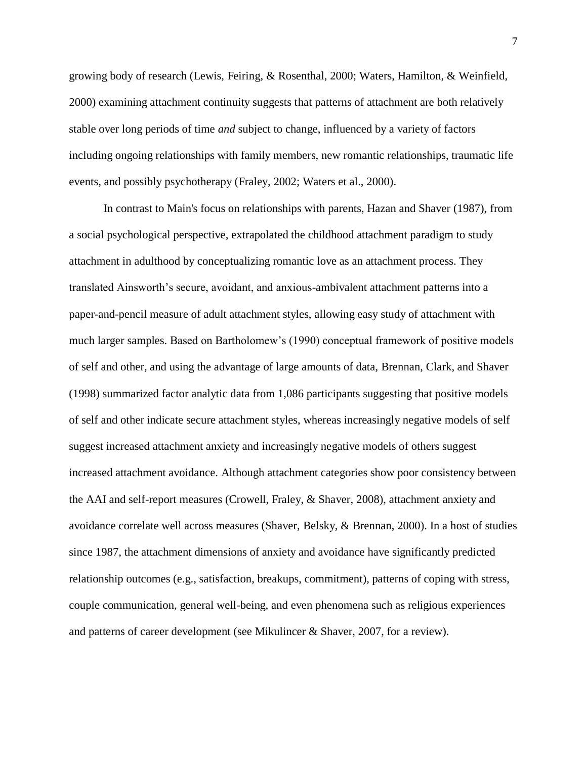growing body of research (Lewis, Feiring, & Rosenthal, 2000; Waters, Hamilton, & Weinfield, 2000) examining attachment continuity suggests that patterns of attachment are both relatively stable over long periods of time *and* subject to change, influenced by a variety of factors including ongoing relationships with family members, new romantic relationships, traumatic life events, and possibly psychotherapy (Fraley, 2002; Waters et al., 2000).

In contrast to Main's focus on relationships with parents, Hazan and Shaver (1987), from a social psychological perspective, extrapolated the childhood attachment paradigm to study attachment in adulthood by conceptualizing romantic love as an attachment process. They translated Ainsworth's secure, avoidant, and anxious-ambivalent attachment patterns into a paper-and-pencil measure of adult attachment styles, allowing easy study of attachment with much larger samples. Based on Bartholomew's (1990) conceptual framework of positive models of self and other, and using the advantage of large amounts of data, Brennan, Clark, and Shaver (1998) summarized factor analytic data from 1,086 participants suggesting that positive models of self and other indicate secure attachment styles, whereas increasingly negative models of self suggest increased attachment anxiety and increasingly negative models of others suggest increased attachment avoidance. Although attachment categories show poor consistency between the AAI and self-report measures (Crowell, Fraley, & Shaver, 2008), attachment anxiety and avoidance correlate well across measures (Shaver, Belsky, & Brennan, 2000). In a host of studies since 1987, the attachment dimensions of anxiety and avoidance have significantly predicted relationship outcomes (e.g., satisfaction, breakups, commitment), patterns of coping with stress, couple communication, general well-being, and even phenomena such as religious experiences and patterns of career development (see Mikulincer & Shaver, 2007, for a review).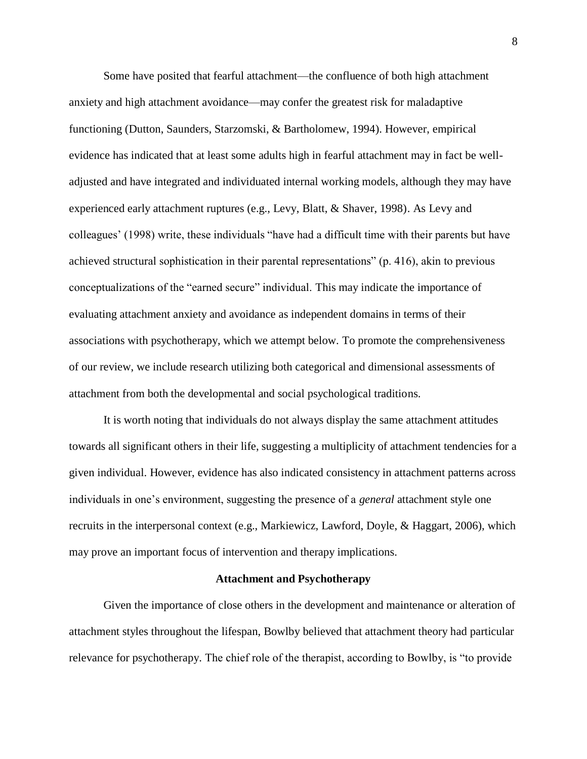Some have posited that fearful attachment—the confluence of both high attachment anxiety and high attachment avoidance—may confer the greatest risk for maladaptive functioning (Dutton, Saunders, Starzomski, & Bartholomew, 1994). However, empirical evidence has indicated that at least some adults high in fearful attachment may in fact be welladjusted and have integrated and individuated internal working models, although they may have experienced early attachment ruptures (e.g., Levy, Blatt, & Shaver, 1998). As Levy and colleagues' (1998) write, these individuals "have had a difficult time with their parents but have achieved structural sophistication in their parental representations" (p. 416), akin to previous conceptualizations of the "earned secure" individual. This may indicate the importance of evaluating attachment anxiety and avoidance as independent domains in terms of their associations with psychotherapy, which we attempt below. To promote the comprehensiveness of our review, we include research utilizing both categorical and dimensional assessments of attachment from both the developmental and social psychological traditions.

It is worth noting that individuals do not always display the same attachment attitudes towards all significant others in their life, suggesting a multiplicity of attachment tendencies for a given individual. However, evidence has also indicated consistency in attachment patterns across individuals in one's environment, suggesting the presence of a *general* attachment style one recruits in the interpersonal context (e.g., Markiewicz, Lawford, Doyle, & Haggart, 2006), which may prove an important focus of intervention and therapy implications.

#### **Attachment and Psychotherapy**

Given the importance of close others in the development and maintenance or alteration of attachment styles throughout the lifespan, Bowlby believed that attachment theory had particular relevance for psychotherapy. The chief role of the therapist, according to Bowlby, is "to provide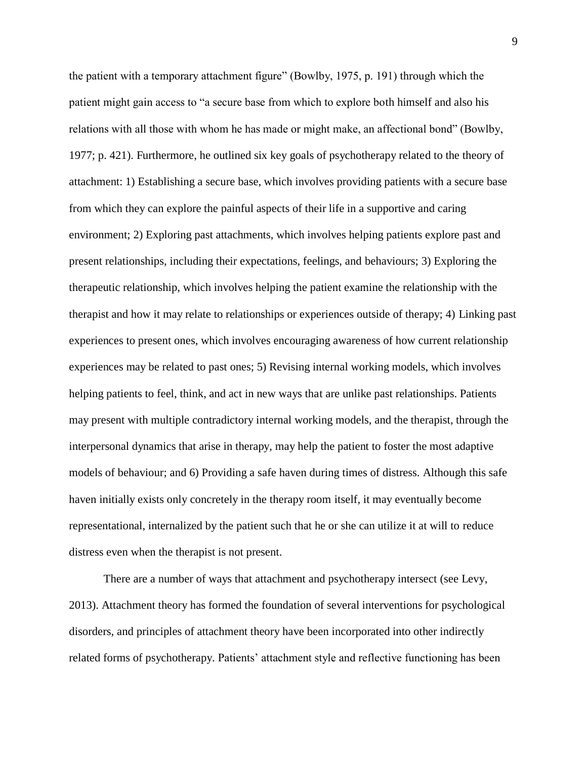the patient with a temporary attachment figure" (Bowlby, 1975, p. 191) through which the patient might gain access to "a secure base from which to explore both himself and also his relations with all those with whom he has made or might make, an affectional bond" (Bowlby, 1977; p. 421). Furthermore, he outlined six key goals of psychotherapy related to the theory of attachment: 1) Establishing a secure base, which involves providing patients with a secure base from which they can explore the painful aspects of their life in a supportive and caring environment; 2) Exploring past attachments, which involves helping patients explore past and present relationships, including their expectations, feelings, and behaviours; 3) Exploring the therapeutic relationship, which involves helping the patient examine the relationship with the therapist and how it may relate to relationships or experiences outside of therapy; 4) Linking past experiences to present ones, which involves encouraging awareness of how current relationship experiences may be related to past ones; 5) Revising internal working models, which involves helping patients to feel, think, and act in new ways that are unlike past relationships. Patients may present with multiple contradictory internal working models, and the therapist, through the interpersonal dynamics that arise in therapy, may help the patient to foster the most adaptive models of behaviour; and 6) Providing a safe haven during times of distress. Although this safe haven initially exists only concretely in the therapy room itself, it may eventually become representational, internalized by the patient such that he or she can utilize it at will to reduce distress even when the therapist is not present.

There are a number of ways that attachment and psychotherapy intersect (see Levy, 2013). Attachment theory has formed the foundation of several interventions for psychological disorders, and principles of attachment theory have been incorporated into other indirectly related forms of psychotherapy. Patients' attachment style and reflective functioning has been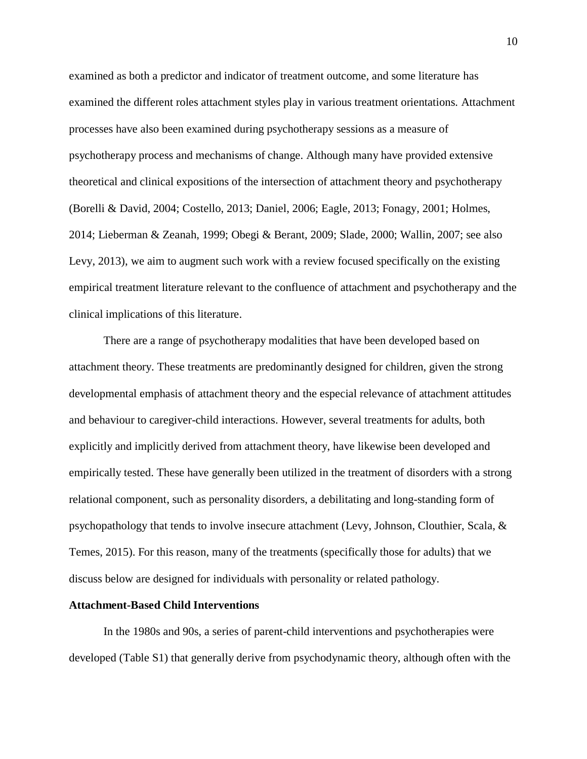examined as both a predictor and indicator of treatment outcome, and some literature has examined the different roles attachment styles play in various treatment orientations. Attachment processes have also been examined during psychotherapy sessions as a measure of psychotherapy process and mechanisms of change. Although many have provided extensive theoretical and clinical expositions of the intersection of attachment theory and psychotherapy (Borelli & David, 2004; Costello, 2013; Daniel, 2006; Eagle, 2013; Fonagy, 2001; Holmes, 2014; Lieberman & Zeanah, 1999; Obegi & Berant, 2009; Slade, 2000; Wallin, 2007; see also Levy, 2013), we aim to augment such work with a review focused specifically on the existing empirical treatment literature relevant to the confluence of attachment and psychotherapy and the clinical implications of this literature.

There are a range of psychotherapy modalities that have been developed based on attachment theory. These treatments are predominantly designed for children, given the strong developmental emphasis of attachment theory and the especial relevance of attachment attitudes and behaviour to caregiver-child interactions. However, several treatments for adults, both explicitly and implicitly derived from attachment theory, have likewise been developed and empirically tested. These have generally been utilized in the treatment of disorders with a strong relational component, such as personality disorders, a debilitating and long-standing form of psychopathology that tends to involve insecure attachment (Levy, Johnson, Clouthier, Scala, & Temes, 2015). For this reason, many of the treatments (specifically those for adults) that we discuss below are designed for individuals with personality or related pathology.

#### **Attachment-Based Child Interventions**

In the 1980s and 90s, a series of parent-child interventions and psychotherapies were developed (Table S1) that generally derive from psychodynamic theory, although often with the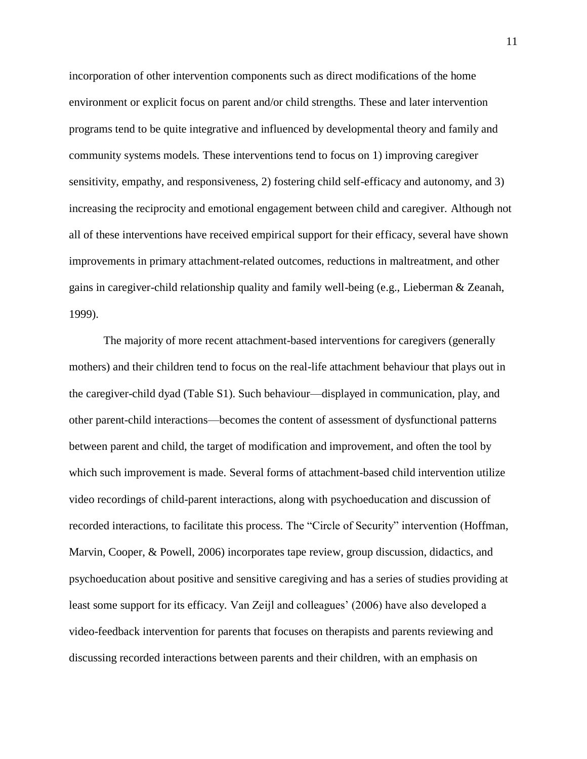incorporation of other intervention components such as direct modifications of the home environment or explicit focus on parent and/or child strengths. These and later intervention programs tend to be quite integrative and influenced by developmental theory and family and community systems models. These interventions tend to focus on 1) improving caregiver sensitivity, empathy, and responsiveness, 2) fostering child self-efficacy and autonomy, and 3) increasing the reciprocity and emotional engagement between child and caregiver. Although not all of these interventions have received empirical support for their efficacy, several have shown improvements in primary attachment-related outcomes, reductions in maltreatment, and other gains in caregiver-child relationship quality and family well-being (e.g., Lieberman & Zeanah, 1999).

The majority of more recent attachment-based interventions for caregivers (generally mothers) and their children tend to focus on the real-life attachment behaviour that plays out in the caregiver-child dyad (Table S1). Such behaviour—displayed in communication, play, and other parent-child interactions—becomes the content of assessment of dysfunctional patterns between parent and child, the target of modification and improvement, and often the tool by which such improvement is made. Several forms of attachment-based child intervention utilize video recordings of child-parent interactions, along with psychoeducation and discussion of recorded interactions, to facilitate this process. The "Circle of Security" intervention (Hoffman, Marvin, Cooper, & Powell, 2006) incorporates tape review, group discussion, didactics, and psychoeducation about positive and sensitive caregiving and has a series of studies providing at least some support for its efficacy. Van Zeijl and colleagues' (2006) have also developed a video-feedback intervention for parents that focuses on therapists and parents reviewing and discussing recorded interactions between parents and their children, with an emphasis on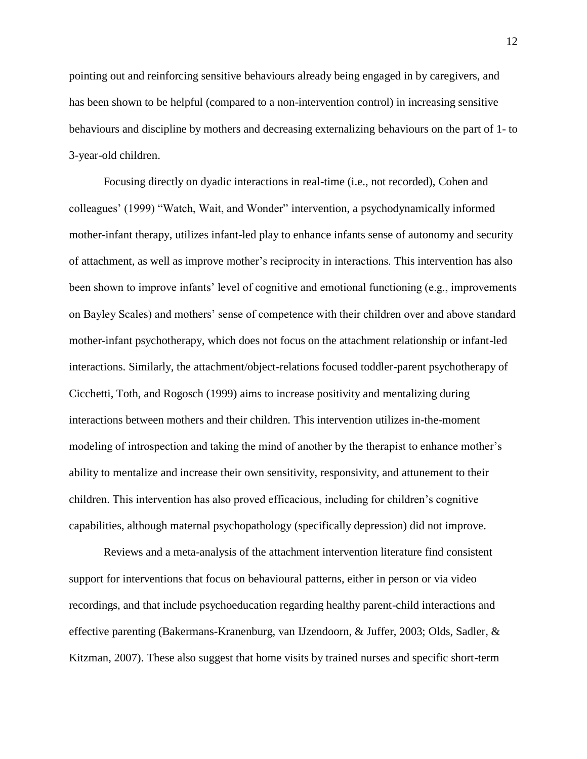pointing out and reinforcing sensitive behaviours already being engaged in by caregivers, and has been shown to be helpful (compared to a non-intervention control) in increasing sensitive behaviours and discipline by mothers and decreasing externalizing behaviours on the part of 1- to 3-year-old children.

Focusing directly on dyadic interactions in real-time (i.e., not recorded), Cohen and colleagues' (1999) "Watch, Wait, and Wonder" intervention, a psychodynamically informed mother-infant therapy, utilizes infant-led play to enhance infants sense of autonomy and security of attachment, as well as improve mother's reciprocity in interactions. This intervention has also been shown to improve infants' level of cognitive and emotional functioning (e.g., improvements on Bayley Scales) and mothers' sense of competence with their children over and above standard mother-infant psychotherapy, which does not focus on the attachment relationship or infant-led interactions. Similarly, the attachment/object-relations focused toddler-parent psychotherapy of Cicchetti, Toth, and Rogosch (1999) aims to increase positivity and mentalizing during interactions between mothers and their children. This intervention utilizes in-the-moment modeling of introspection and taking the mind of another by the therapist to enhance mother's ability to mentalize and increase their own sensitivity, responsivity, and attunement to their children. This intervention has also proved efficacious, including for children's cognitive capabilities, although maternal psychopathology (specifically depression) did not improve.

Reviews and a meta-analysis of the attachment intervention literature find consistent support for interventions that focus on behavioural patterns, either in person or via video recordings, and that include psychoeducation regarding healthy parent-child interactions and effective parenting (Bakermans-Kranenburg, van IJzendoorn, & Juffer, 2003; Olds, Sadler, & Kitzman, 2007). These also suggest that home visits by trained nurses and specific short-term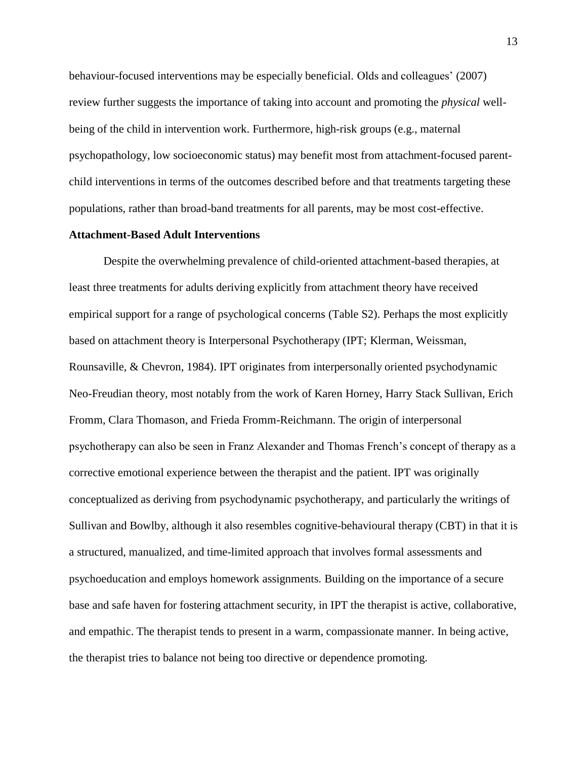behaviour-focused interventions may be especially beneficial. Olds and colleagues' (2007) review further suggests the importance of taking into account and promoting the *physical* wellbeing of the child in intervention work. Furthermore, high-risk groups (e.g., maternal psychopathology, low socioeconomic status) may benefit most from attachment-focused parentchild interventions in terms of the outcomes described before and that treatments targeting these populations, rather than broad-band treatments for all parents, may be most cost-effective.

## **Attachment-Based Adult Interventions**

Despite the overwhelming prevalence of child-oriented attachment-based therapies, at least three treatments for adults deriving explicitly from attachment theory have received empirical support for a range of psychological concerns (Table S2). Perhaps the most explicitly based on attachment theory is Interpersonal Psychotherapy (IPT; Klerman, Weissman, Rounsaville, & Chevron, 1984). IPT originates from interpersonally oriented psychodynamic Neo-Freudian theory, most notably from the work of Karen Horney, Harry Stack Sullivan, Erich Fromm, Clara Thomason, and Frieda Fromm-Reichmann. The origin of interpersonal psychotherapy can also be seen in Franz Alexander and Thomas French's concept of therapy as a corrective emotional experience between the therapist and the patient. IPT was originally conceptualized as deriving from psychodynamic psychotherapy, and particularly the writings of Sullivan and Bowlby, although it also resembles cognitive-behavioural therapy (CBT) in that it is a structured, manualized, and time-limited approach that involves formal assessments and psychoeducation and employs homework assignments. Building on the importance of a secure base and safe haven for fostering attachment security, in IPT the therapist is active, collaborative, and empathic. The therapist tends to present in a warm, compassionate manner. In being active, the therapist tries to balance not being too directive or dependence promoting.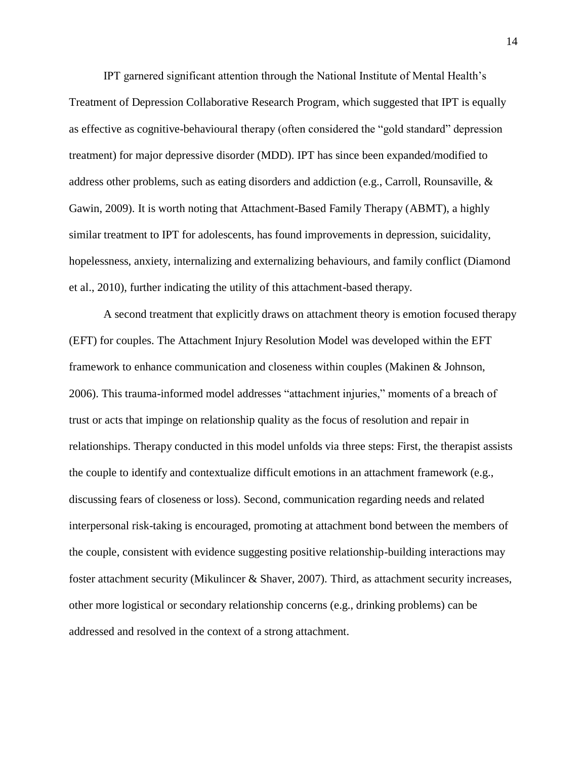IPT garnered significant attention through the National Institute of Mental Health's Treatment of Depression Collaborative Research Program, which suggested that IPT is equally as effective as cognitive-behavioural therapy (often considered the "gold standard" depression treatment) for major depressive disorder (MDD). IPT has since been expanded/modified to address other problems, such as eating disorders and addiction (e.g., Carroll, Rounsaville, & Gawin, 2009). It is worth noting that Attachment-Based Family Therapy (ABMT), a highly similar treatment to IPT for adolescents, has found improvements in depression, suicidality, hopelessness, anxiety, internalizing and externalizing behaviours, and family conflict (Diamond et al., 2010), further indicating the utility of this attachment-based therapy.

A second treatment that explicitly draws on attachment theory is emotion focused therapy (EFT) for couples. The Attachment Injury Resolution Model was developed within the EFT framework to enhance communication and closeness within couples (Makinen & Johnson, 2006). This trauma-informed model addresses "attachment injuries," moments of a breach of trust or acts that impinge on relationship quality as the focus of resolution and repair in relationships. Therapy conducted in this model unfolds via three steps: First, the therapist assists the couple to identify and contextualize difficult emotions in an attachment framework (e.g., discussing fears of closeness or loss). Second, communication regarding needs and related interpersonal risk-taking is encouraged, promoting at attachment bond between the members of the couple, consistent with evidence suggesting positive relationship-building interactions may foster attachment security (Mikulincer & Shaver, 2007). Third, as attachment security increases, other more logistical or secondary relationship concerns (e.g., drinking problems) can be addressed and resolved in the context of a strong attachment.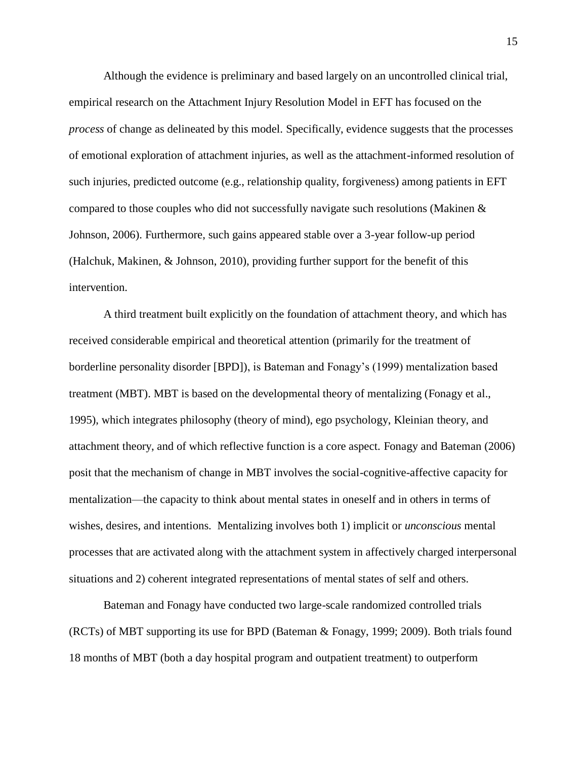Although the evidence is preliminary and based largely on an uncontrolled clinical trial, empirical research on the Attachment Injury Resolution Model in EFT has focused on the *process* of change as delineated by this model. Specifically, evidence suggests that the processes of emotional exploration of attachment injuries, as well as the attachment-informed resolution of such injuries, predicted outcome (e.g., relationship quality, forgiveness) among patients in EFT compared to those couples who did not successfully navigate such resolutions (Makinen & Johnson, 2006). Furthermore, such gains appeared stable over a 3-year follow-up period (Halchuk, Makinen, & Johnson, 2010), providing further support for the benefit of this intervention.

A third treatment built explicitly on the foundation of attachment theory, and which has received considerable empirical and theoretical attention (primarily for the treatment of borderline personality disorder [BPD]), is Bateman and Fonagy's (1999) mentalization based treatment (MBT). MBT is based on the developmental theory of mentalizing (Fonagy et al., 1995), which integrates philosophy (theory of mind), ego psychology, Kleinian theory, and attachment theory, and of which reflective function is a core aspect. Fonagy and Bateman (2006) posit that the mechanism of change in MBT involves the social-cognitive-affective capacity for mentalization—the capacity to think about mental states in oneself and in others in terms of wishes, desires, and intentions. Mentalizing involves both 1) implicit or *unconscious* mental processes that are activated along with the attachment system in affectively charged interpersonal situations and 2) coherent integrated representations of mental states of self and others.

Bateman and Fonagy have conducted two large-scale randomized controlled trials (RCTs) of MBT supporting its use for BPD (Bateman & Fonagy, 1999; 2009). Both trials found 18 months of MBT (both a day hospital program and outpatient treatment) to outperform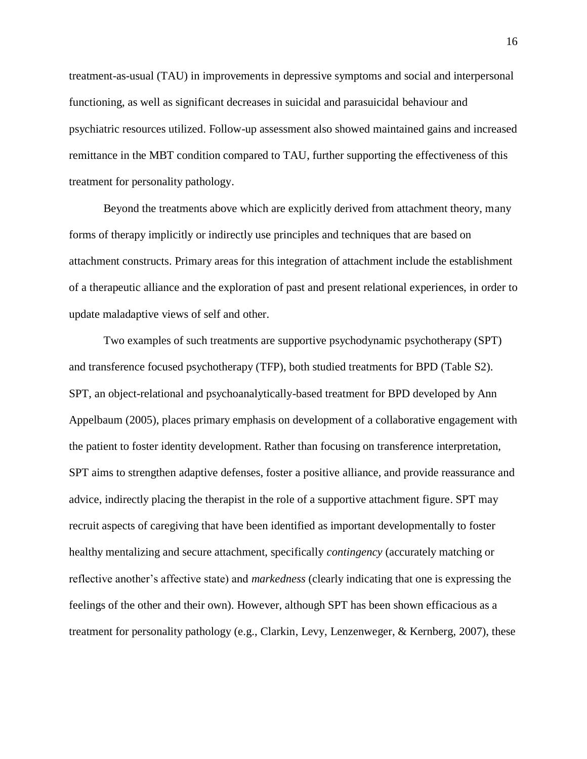treatment-as-usual (TAU) in improvements in depressive symptoms and social and interpersonal functioning, as well as significant decreases in suicidal and parasuicidal behaviour and psychiatric resources utilized. Follow-up assessment also showed maintained gains and increased remittance in the MBT condition compared to TAU, further supporting the effectiveness of this treatment for personality pathology.

Beyond the treatments above which are explicitly derived from attachment theory, many forms of therapy implicitly or indirectly use principles and techniques that are based on attachment constructs. Primary areas for this integration of attachment include the establishment of a therapeutic alliance and the exploration of past and present relational experiences, in order to update maladaptive views of self and other.

Two examples of such treatments are supportive psychodynamic psychotherapy (SPT) and transference focused psychotherapy (TFP), both studied treatments for BPD (Table S2). SPT, an object-relational and psychoanalytically-based treatment for BPD developed by Ann Appelbaum (2005), places primary emphasis on development of a collaborative engagement with the patient to foster identity development. Rather than focusing on transference interpretation, SPT aims to strengthen adaptive defenses, foster a positive alliance, and provide reassurance and advice, indirectly placing the therapist in the role of a supportive attachment figure. SPT may recruit aspects of caregiving that have been identified as important developmentally to foster healthy mentalizing and secure attachment, specifically *contingency* (accurately matching or reflective another's affective state) and *markedness* (clearly indicating that one is expressing the feelings of the other and their own). However, although SPT has been shown efficacious as a treatment for personality pathology (e.g., Clarkin, Levy, Lenzenweger, & Kernberg, 2007), these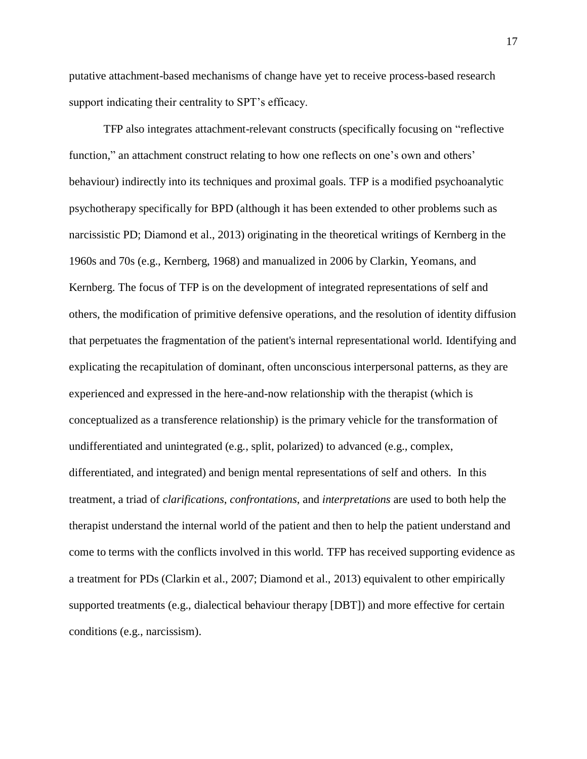putative attachment-based mechanisms of change have yet to receive process-based research support indicating their centrality to SPT's efficacy.

TFP also integrates attachment-relevant constructs (specifically focusing on "reflective function," an attachment construct relating to how one reflects on one's own and others' behaviour) indirectly into its techniques and proximal goals. TFP is a modified psychoanalytic psychotherapy specifically for BPD (although it has been extended to other problems such as narcissistic PD; Diamond et al., 2013) originating in the theoretical writings of Kernberg in the 1960s and 70s (e.g., Kernberg, 1968) and manualized in 2006 by Clarkin, Yeomans, and Kernberg. The focus of TFP is on the development of integrated representations of self and others, the modification of primitive defensive operations, and the resolution of identity diffusion that perpetuates the fragmentation of the patient's internal representational world. Identifying and explicating the recapitulation of dominant, often unconscious interpersonal patterns, as they are experienced and expressed in the here-and-now relationship with the therapist (which is conceptualized as a transference relationship) is the primary vehicle for the transformation of undifferentiated and unintegrated (e.g., split, polarized) to advanced (e.g., complex, differentiated, and integrated) and benign mental representations of self and others. In this treatment, a triad of *clarifications*, *confrontations*, and *interpretations* are used to both help the therapist understand the internal world of the patient and then to help the patient understand and come to terms with the conflicts involved in this world. TFP has received supporting evidence as a treatment for PDs (Clarkin et al., 2007; Diamond et al., 2013) equivalent to other empirically supported treatments (e.g., dialectical behaviour therapy [DBT]) and more effective for certain conditions (e.g., narcissism).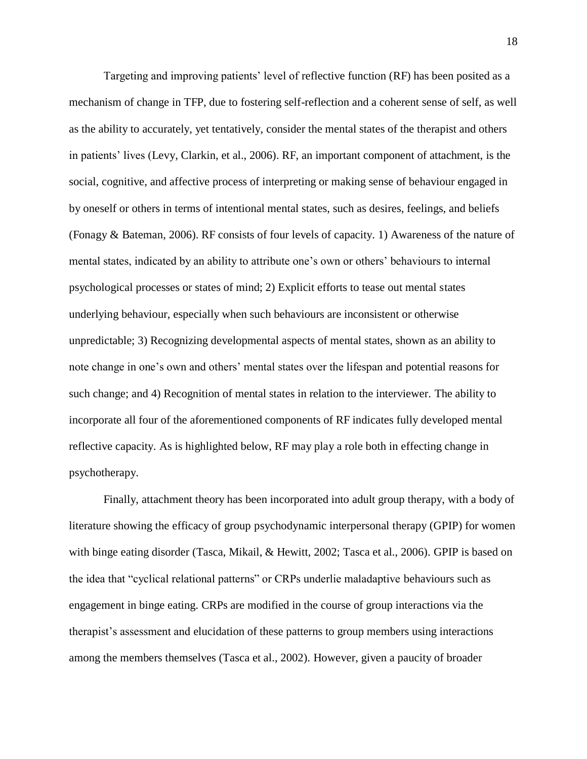Targeting and improving patients' level of reflective function (RF) has been posited as a mechanism of change in TFP, due to fostering self-reflection and a coherent sense of self, as well as the ability to accurately, yet tentatively, consider the mental states of the therapist and others in patients' lives (Levy, Clarkin, et al., 2006). RF, an important component of attachment, is the social, cognitive, and affective process of interpreting or making sense of behaviour engaged in by oneself or others in terms of intentional mental states, such as desires, feelings, and beliefs (Fonagy & Bateman, 2006). RF consists of four levels of capacity. 1) Awareness of the nature of mental states, indicated by an ability to attribute one's own or others' behaviours to internal psychological processes or states of mind; 2) Explicit efforts to tease out mental states underlying behaviour, especially when such behaviours are inconsistent or otherwise unpredictable; 3) Recognizing developmental aspects of mental states, shown as an ability to note change in one's own and others' mental states over the lifespan and potential reasons for such change; and 4) Recognition of mental states in relation to the interviewer. The ability to incorporate all four of the aforementioned components of RF indicates fully developed mental reflective capacity. As is highlighted below, RF may play a role both in effecting change in psychotherapy.

Finally, attachment theory has been incorporated into adult group therapy, with a body of literature showing the efficacy of group psychodynamic interpersonal therapy (GPIP) for women with binge eating disorder (Tasca, Mikail, & Hewitt, 2002; Tasca et al., 2006). GPIP is based on the idea that "cyclical relational patterns" or CRPs underlie maladaptive behaviours such as engagement in binge eating. CRPs are modified in the course of group interactions via the therapist's assessment and elucidation of these patterns to group members using interactions among the members themselves (Tasca et al., 2002). However, given a paucity of broader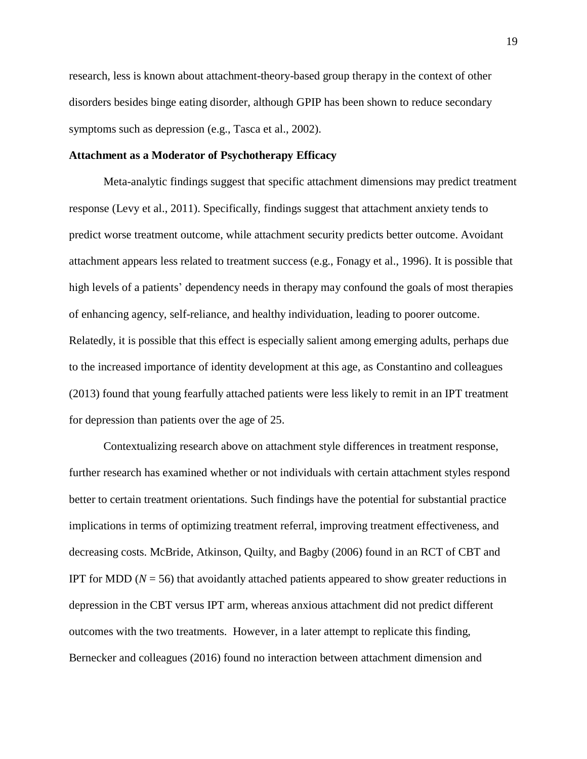research, less is known about attachment-theory-based group therapy in the context of other disorders besides binge eating disorder, although GPIP has been shown to reduce secondary symptoms such as depression (e.g., Tasca et al., 2002).

## **Attachment as a Moderator of Psychotherapy Efficacy**

Meta-analytic findings suggest that specific attachment dimensions may predict treatment response (Levy et al., 2011). Specifically, findings suggest that attachment anxiety tends to predict worse treatment outcome, while attachment security predicts better outcome. Avoidant attachment appears less related to treatment success (e.g., Fonagy et al., 1996). It is possible that high levels of a patients' dependency needs in therapy may confound the goals of most therapies of enhancing agency, self-reliance, and healthy individuation, leading to poorer outcome. Relatedly, it is possible that this effect is especially salient among emerging adults, perhaps due to the increased importance of identity development at this age, as Constantino and colleagues (2013) found that young fearfully attached patients were less likely to remit in an IPT treatment for depression than patients over the age of 25.

Contextualizing research above on attachment style differences in treatment response, further research has examined whether or not individuals with certain attachment styles respond better to certain treatment orientations. Such findings have the potential for substantial practice implications in terms of optimizing treatment referral, improving treatment effectiveness, and decreasing costs. McBride, Atkinson, Quilty, and Bagby (2006) found in an RCT of CBT and IPT for MDD ( $N = 56$ ) that avoidantly attached patients appeared to show greater reductions in depression in the CBT versus IPT arm, whereas anxious attachment did not predict different outcomes with the two treatments. However, in a later attempt to replicate this finding, Bernecker and colleagues (2016) found no interaction between attachment dimension and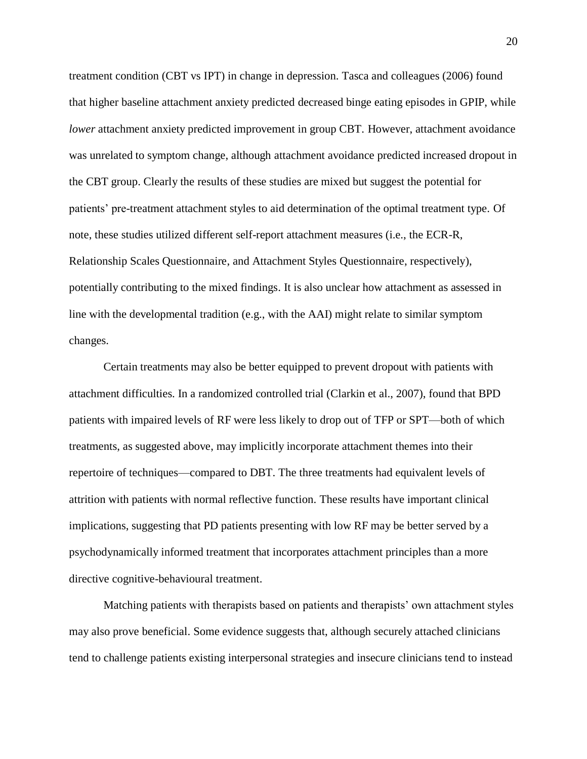treatment condition (CBT vs IPT) in change in depression. Tasca and colleagues (2006) found that higher baseline attachment anxiety predicted decreased binge eating episodes in GPIP, while *lower* attachment anxiety predicted improvement in group CBT. However, attachment avoidance was unrelated to symptom change, although attachment avoidance predicted increased dropout in the CBT group. Clearly the results of these studies are mixed but suggest the potential for patients' pre-treatment attachment styles to aid determination of the optimal treatment type. Of note, these studies utilized different self-report attachment measures (i.e., the ECR-R, Relationship Scales Questionnaire, and Attachment Styles Questionnaire, respectively), potentially contributing to the mixed findings. It is also unclear how attachment as assessed in line with the developmental tradition (e.g., with the AAI) might relate to similar symptom changes.

Certain treatments may also be better equipped to prevent dropout with patients with attachment difficulties. In a randomized controlled trial (Clarkin et al., 2007), found that BPD patients with impaired levels of RF were less likely to drop out of TFP or SPT—both of which treatments, as suggested above, may implicitly incorporate attachment themes into their repertoire of techniques—compared to DBT. The three treatments had equivalent levels of attrition with patients with normal reflective function. These results have important clinical implications, suggesting that PD patients presenting with low RF may be better served by a psychodynamically informed treatment that incorporates attachment principles than a more directive cognitive-behavioural treatment.

Matching patients with therapists based on patients and therapists' own attachment styles may also prove beneficial. Some evidence suggests that, although securely attached clinicians tend to challenge patients existing interpersonal strategies and insecure clinicians tend to instead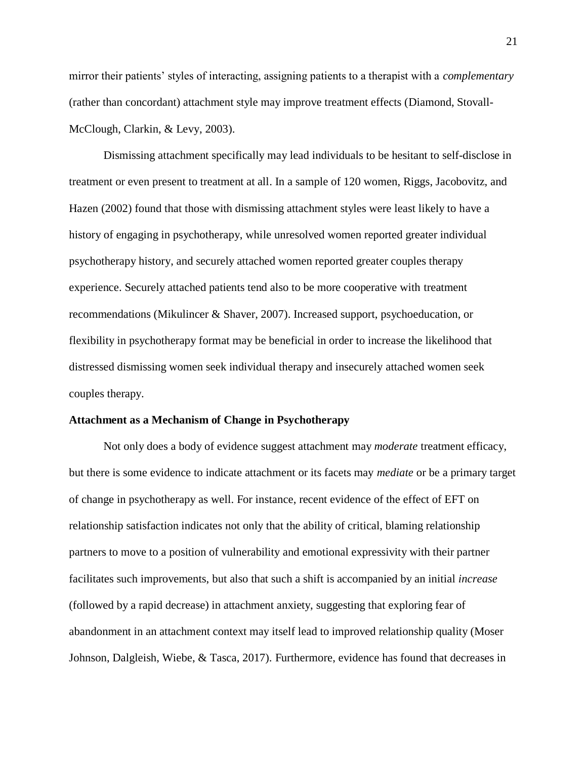mirror their patients' styles of interacting, assigning patients to a therapist with a *complementary* (rather than concordant) attachment style may improve treatment effects (Diamond, Stovall-McClough, Clarkin, & Levy, 2003).

Dismissing attachment specifically may lead individuals to be hesitant to self-disclose in treatment or even present to treatment at all. In a sample of 120 women, Riggs, Jacobovitz, and Hazen (2002) found that those with dismissing attachment styles were least likely to have a history of engaging in psychotherapy, while unresolved women reported greater individual psychotherapy history, and securely attached women reported greater couples therapy experience. Securely attached patients tend also to be more cooperative with treatment recommendations (Mikulincer & Shaver, 2007). Increased support, psychoeducation, or flexibility in psychotherapy format may be beneficial in order to increase the likelihood that distressed dismissing women seek individual therapy and insecurely attached women seek couples therapy.

#### **Attachment as a Mechanism of Change in Psychotherapy**

Not only does a body of evidence suggest attachment may *moderate* treatment efficacy, but there is some evidence to indicate attachment or its facets may *mediate* or be a primary target of change in psychotherapy as well. For instance, recent evidence of the effect of EFT on relationship satisfaction indicates not only that the ability of critical, blaming relationship partners to move to a position of vulnerability and emotional expressivity with their partner facilitates such improvements, but also that such a shift is accompanied by an initial *increase*  (followed by a rapid decrease) in attachment anxiety, suggesting that exploring fear of abandonment in an attachment context may itself lead to improved relationship quality (Moser Johnson, Dalgleish, Wiebe, & Tasca, 2017). Furthermore, evidence has found that decreases in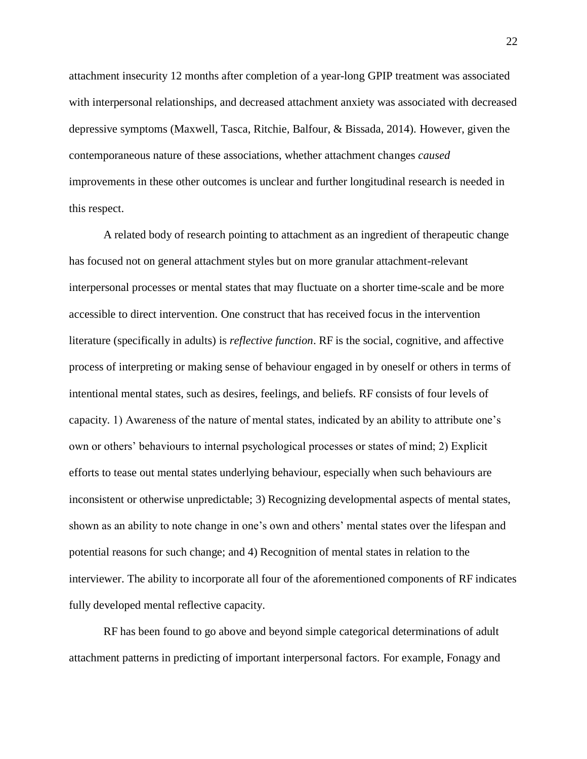attachment insecurity 12 months after completion of a year-long GPIP treatment was associated with interpersonal relationships, and decreased attachment anxiety was associated with decreased depressive symptoms (Maxwell, Tasca, Ritchie, Balfour, & Bissada, 2014). However, given the contemporaneous nature of these associations, whether attachment changes *caused* improvements in these other outcomes is unclear and further longitudinal research is needed in this respect.

A related body of research pointing to attachment as an ingredient of therapeutic change has focused not on general attachment styles but on more granular attachment-relevant interpersonal processes or mental states that may fluctuate on a shorter time-scale and be more accessible to direct intervention. One construct that has received focus in the intervention literature (specifically in adults) is *reflective function*. RF is the social, cognitive, and affective process of interpreting or making sense of behaviour engaged in by oneself or others in terms of intentional mental states, such as desires, feelings, and beliefs. RF consists of four levels of capacity. 1) Awareness of the nature of mental states, indicated by an ability to attribute one's own or others' behaviours to internal psychological processes or states of mind; 2) Explicit efforts to tease out mental states underlying behaviour, especially when such behaviours are inconsistent or otherwise unpredictable; 3) Recognizing developmental aspects of mental states, shown as an ability to note change in one's own and others' mental states over the lifespan and potential reasons for such change; and 4) Recognition of mental states in relation to the interviewer. The ability to incorporate all four of the aforementioned components of RF indicates fully developed mental reflective capacity.

RF has been found to go above and beyond simple categorical determinations of adult attachment patterns in predicting of important interpersonal factors. For example, Fonagy and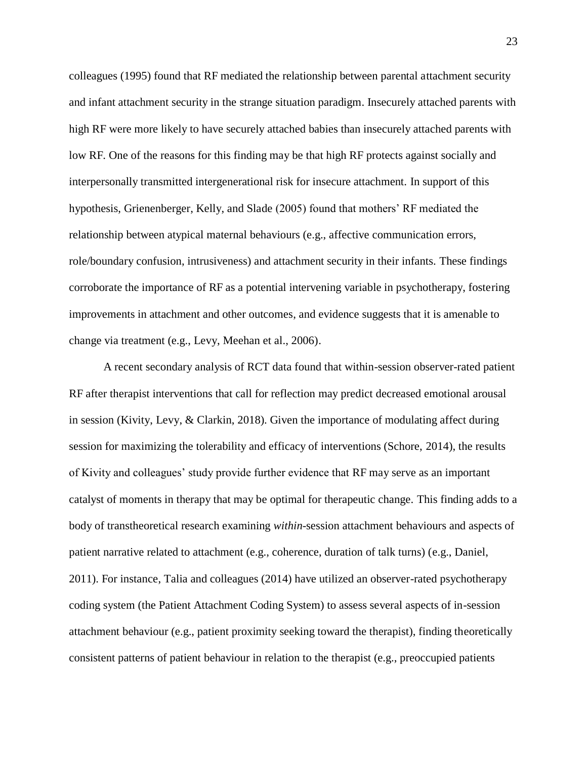colleagues (1995) found that RF mediated the relationship between parental attachment security and infant attachment security in the strange situation paradigm. Insecurely attached parents with high RF were more likely to have securely attached babies than insecurely attached parents with low RF. One of the reasons for this finding may be that high RF protects against socially and interpersonally transmitted intergenerational risk for insecure attachment. In support of this hypothesis, Grienenberger, Kelly, and Slade (2005) found that mothers' RF mediated the relationship between atypical maternal behaviours (e.g., affective communication errors, role/boundary confusion, intrusiveness) and attachment security in their infants. These findings corroborate the importance of RF as a potential intervening variable in psychotherapy, fostering improvements in attachment and other outcomes, and evidence suggests that it is amenable to change via treatment (e.g., Levy, Meehan et al., 2006).

A recent secondary analysis of RCT data found that within-session observer-rated patient RF after therapist interventions that call for reflection may predict decreased emotional arousal in session (Kivity, Levy, & Clarkin, 2018). Given the importance of modulating affect during session for maximizing the tolerability and efficacy of interventions (Schore, 2014), the results of Kivity and colleagues' study provide further evidence that RF may serve as an important catalyst of moments in therapy that may be optimal for therapeutic change. This finding adds to a body of transtheoretical research examining *within*-session attachment behaviours and aspects of patient narrative related to attachment (e.g., coherence, duration of talk turns) (e.g., Daniel, 2011). For instance, Talia and colleagues (2014) have utilized an observer-rated psychotherapy coding system (the Patient Attachment Coding System) to assess several aspects of in-session attachment behaviour (e.g., patient proximity seeking toward the therapist), finding theoretically consistent patterns of patient behaviour in relation to the therapist (e.g., preoccupied patients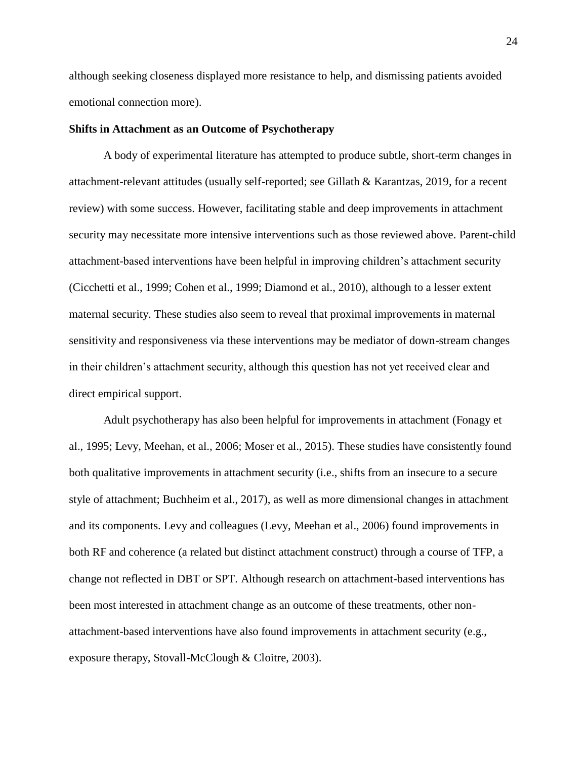although seeking closeness displayed more resistance to help, and dismissing patients avoided emotional connection more).

#### **Shifts in Attachment as an Outcome of Psychotherapy**

A body of experimental literature has attempted to produce subtle, short-term changes in attachment-relevant attitudes (usually self-reported; see Gillath & Karantzas, 2019, for a recent review) with some success. However, facilitating stable and deep improvements in attachment security may necessitate more intensive interventions such as those reviewed above. Parent-child attachment-based interventions have been helpful in improving children's attachment security (Cicchetti et al., 1999; Cohen et al., 1999; Diamond et al., 2010), although to a lesser extent maternal security. These studies also seem to reveal that proximal improvements in maternal sensitivity and responsiveness via these interventions may be mediator of down-stream changes in their children's attachment security, although this question has not yet received clear and direct empirical support.

Adult psychotherapy has also been helpful for improvements in attachment (Fonagy et al., 1995; Levy, Meehan, et al., 2006; Moser et al., 2015). These studies have consistently found both qualitative improvements in attachment security (i.e., shifts from an insecure to a secure style of attachment; Buchheim et al., 2017), as well as more dimensional changes in attachment and its components. Levy and colleagues (Levy, Meehan et al., 2006) found improvements in both RF and coherence (a related but distinct attachment construct) through a course of TFP, a change not reflected in DBT or SPT. Although research on attachment-based interventions has been most interested in attachment change as an outcome of these treatments, other nonattachment-based interventions have also found improvements in attachment security (e.g., exposure therapy, Stovall-McClough & Cloitre, 2003).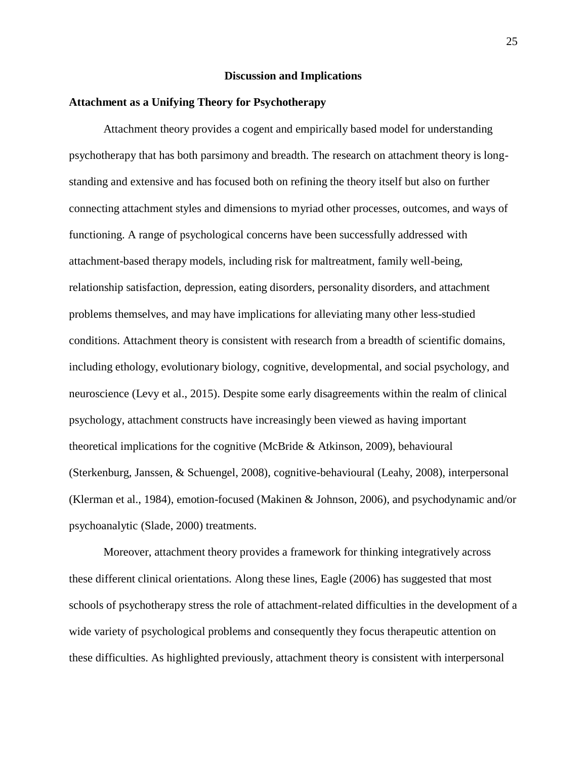#### **Discussion and Implications**

#### **Attachment as a Unifying Theory for Psychotherapy**

Attachment theory provides a cogent and empirically based model for understanding psychotherapy that has both parsimony and breadth. The research on attachment theory is longstanding and extensive and has focused both on refining the theory itself but also on further connecting attachment styles and dimensions to myriad other processes, outcomes, and ways of functioning. A range of psychological concerns have been successfully addressed with attachment-based therapy models, including risk for maltreatment, family well-being, relationship satisfaction, depression, eating disorders, personality disorders, and attachment problems themselves, and may have implications for alleviating many other less-studied conditions. Attachment theory is consistent with research from a breadth of scientific domains, including ethology, evolutionary biology, cognitive, developmental, and social psychology, and neuroscience (Levy et al., 2015). Despite some early disagreements within the realm of clinical psychology, attachment constructs have increasingly been viewed as having important theoretical implications for the cognitive (McBride & Atkinson, 2009), behavioural (Sterkenburg, Janssen, & Schuengel, 2008), cognitive-behavioural (Leahy, 2008), interpersonal (Klerman et al., 1984), emotion-focused (Makinen & Johnson, 2006), and psychodynamic and/or psychoanalytic (Slade, 2000) treatments.

Moreover, attachment theory provides a framework for thinking integratively across these different clinical orientations. Along these lines, Eagle (2006) has suggested that most schools of psychotherapy stress the role of attachment-related difficulties in the development of a wide variety of psychological problems and consequently they focus therapeutic attention on these difficulties. As highlighted previously, attachment theory is consistent with interpersonal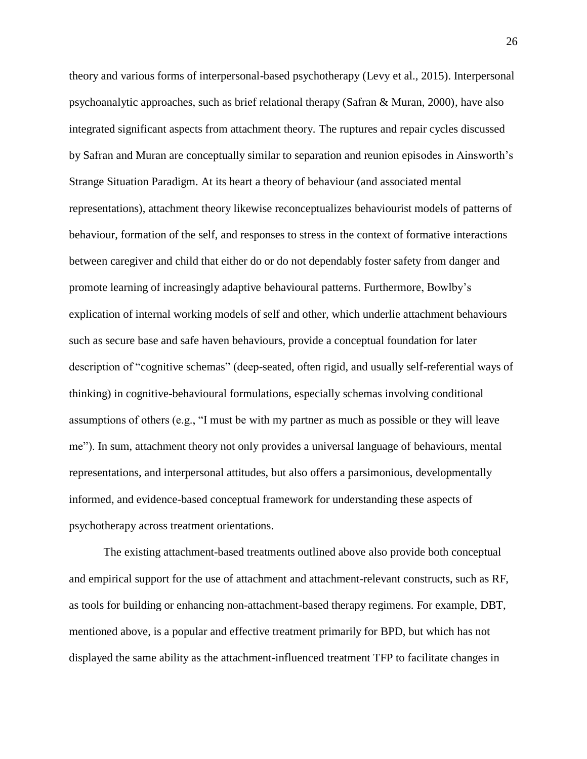theory and various forms of interpersonal-based psychotherapy (Levy et al., 2015). Interpersonal psychoanalytic approaches, such as brief relational therapy (Safran & Muran, 2000), have also integrated significant aspects from attachment theory. The ruptures and repair cycles discussed by Safran and Muran are conceptually similar to separation and reunion episodes in Ainsworth's Strange Situation Paradigm. At its heart a theory of behaviour (and associated mental representations), attachment theory likewise reconceptualizes behaviourist models of patterns of behaviour, formation of the self, and responses to stress in the context of formative interactions between caregiver and child that either do or do not dependably foster safety from danger and promote learning of increasingly adaptive behavioural patterns. Furthermore, Bowlby's explication of internal working models of self and other, which underlie attachment behaviours such as secure base and safe haven behaviours, provide a conceptual foundation for later description of "cognitive schemas" (deep-seated, often rigid, and usually self-referential ways of thinking) in cognitive-behavioural formulations, especially schemas involving conditional assumptions of others (e.g., "I must be with my partner as much as possible or they will leave me"). In sum, attachment theory not only provides a universal language of behaviours, mental representations, and interpersonal attitudes, but also offers a parsimonious, developmentally informed, and evidence-based conceptual framework for understanding these aspects of psychotherapy across treatment orientations.

The existing attachment-based treatments outlined above also provide both conceptual and empirical support for the use of attachment and attachment-relevant constructs, such as RF, as tools for building or enhancing non-attachment-based therapy regimens. For example, DBT, mentioned above, is a popular and effective treatment primarily for BPD, but which has not displayed the same ability as the attachment-influenced treatment TFP to facilitate changes in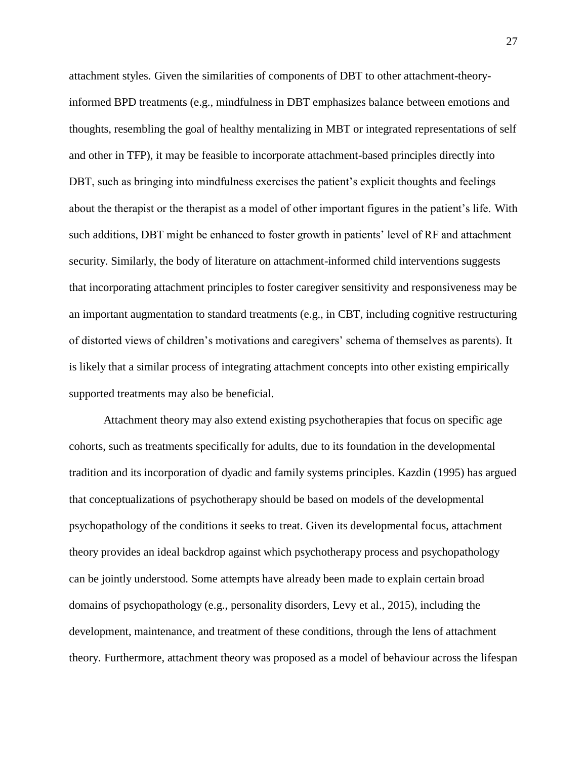attachment styles. Given the similarities of components of DBT to other attachment-theoryinformed BPD treatments (e.g., mindfulness in DBT emphasizes balance between emotions and thoughts, resembling the goal of healthy mentalizing in MBT or integrated representations of self and other in TFP), it may be feasible to incorporate attachment-based principles directly into DBT, such as bringing into mindfulness exercises the patient's explicit thoughts and feelings about the therapist or the therapist as a model of other important figures in the patient's life. With such additions, DBT might be enhanced to foster growth in patients' level of RF and attachment security. Similarly, the body of literature on attachment-informed child interventions suggests that incorporating attachment principles to foster caregiver sensitivity and responsiveness may be an important augmentation to standard treatments (e.g., in CBT, including cognitive restructuring of distorted views of children's motivations and caregivers' schema of themselves as parents). It is likely that a similar process of integrating attachment concepts into other existing empirically supported treatments may also be beneficial.

Attachment theory may also extend existing psychotherapies that focus on specific age cohorts, such as treatments specifically for adults, due to its foundation in the developmental tradition and its incorporation of dyadic and family systems principles. Kazdin (1995) has argued that conceptualizations of psychotherapy should be based on models of the developmental psychopathology of the conditions it seeks to treat. Given its developmental focus, attachment theory provides an ideal backdrop against which psychotherapy process and psychopathology can be jointly understood. Some attempts have already been made to explain certain broad domains of psychopathology (e.g., personality disorders, Levy et al., 2015), including the development, maintenance, and treatment of these conditions, through the lens of attachment theory. Furthermore, attachment theory was proposed as a model of behaviour across the lifespan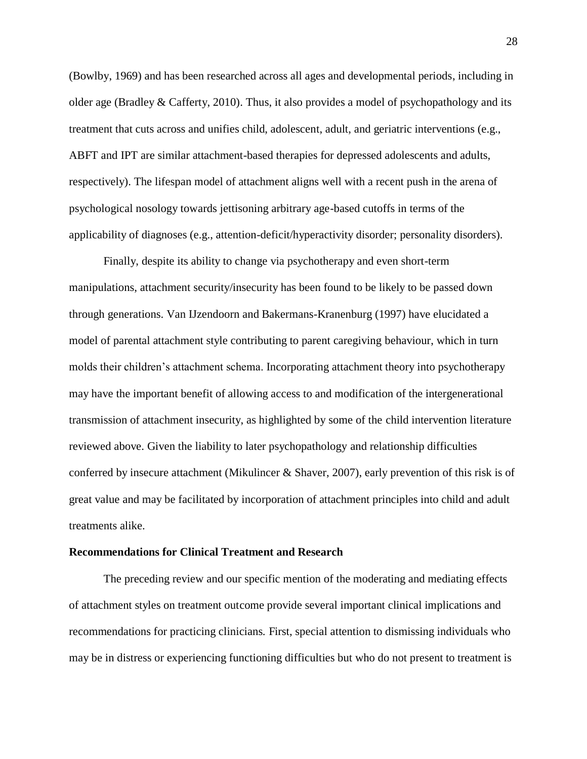(Bowlby, 1969) and has been researched across all ages and developmental periods, including in older age (Bradley & Cafferty, 2010). Thus, it also provides a model of psychopathology and its treatment that cuts across and unifies child, adolescent, adult, and geriatric interventions (e.g., ABFT and IPT are similar attachment-based therapies for depressed adolescents and adults, respectively). The lifespan model of attachment aligns well with a recent push in the arena of psychological nosology towards jettisoning arbitrary age-based cutoffs in terms of the applicability of diagnoses (e.g., attention-deficit/hyperactivity disorder; personality disorders).

Finally, despite its ability to change via psychotherapy and even short-term manipulations, attachment security/insecurity has been found to be likely to be passed down through generations. Van IJzendoorn and Bakermans-Kranenburg (1997) have elucidated a model of parental attachment style contributing to parent caregiving behaviour, which in turn molds their children's attachment schema. Incorporating attachment theory into psychotherapy may have the important benefit of allowing access to and modification of the intergenerational transmission of attachment insecurity, as highlighted by some of the child intervention literature reviewed above. Given the liability to later psychopathology and relationship difficulties conferred by insecure attachment (Mikulincer & Shaver, 2007), early prevention of this risk is of great value and may be facilitated by incorporation of attachment principles into child and adult treatments alike.

#### **Recommendations for Clinical Treatment and Research**

The preceding review and our specific mention of the moderating and mediating effects of attachment styles on treatment outcome provide several important clinical implications and recommendations for practicing clinicians. First, special attention to dismissing individuals who may be in distress or experiencing functioning difficulties but who do not present to treatment is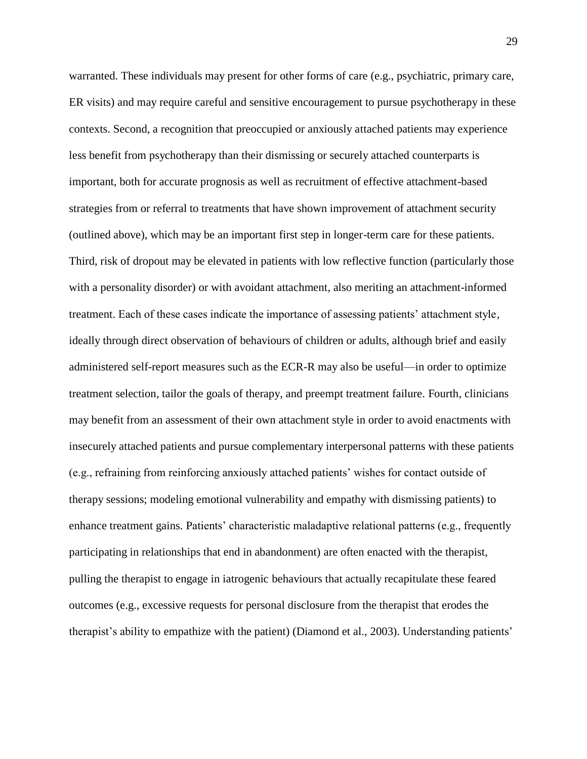warranted. These individuals may present for other forms of care (e.g., psychiatric, primary care, ER visits) and may require careful and sensitive encouragement to pursue psychotherapy in these contexts. Second, a recognition that preoccupied or anxiously attached patients may experience less benefit from psychotherapy than their dismissing or securely attached counterparts is important, both for accurate prognosis as well as recruitment of effective attachment-based strategies from or referral to treatments that have shown improvement of attachment security (outlined above), which may be an important first step in longer-term care for these patients. Third, risk of dropout may be elevated in patients with low reflective function (particularly those with a personality disorder) or with avoidant attachment, also meriting an attachment-informed treatment. Each of these cases indicate the importance of assessing patients' attachment style, ideally through direct observation of behaviours of children or adults, although brief and easily administered self-report measures such as the ECR-R may also be useful—in order to optimize treatment selection, tailor the goals of therapy, and preempt treatment failure. Fourth, clinicians may benefit from an assessment of their own attachment style in order to avoid enactments with insecurely attached patients and pursue complementary interpersonal patterns with these patients (e.g., refraining from reinforcing anxiously attached patients' wishes for contact outside of therapy sessions; modeling emotional vulnerability and empathy with dismissing patients) to enhance treatment gains. Patients' characteristic maladaptive relational patterns (e.g., frequently participating in relationships that end in abandonment) are often enacted with the therapist, pulling the therapist to engage in iatrogenic behaviours that actually recapitulate these feared outcomes (e.g., excessive requests for personal disclosure from the therapist that erodes the therapist's ability to empathize with the patient) (Diamond et al., 2003). Understanding patients'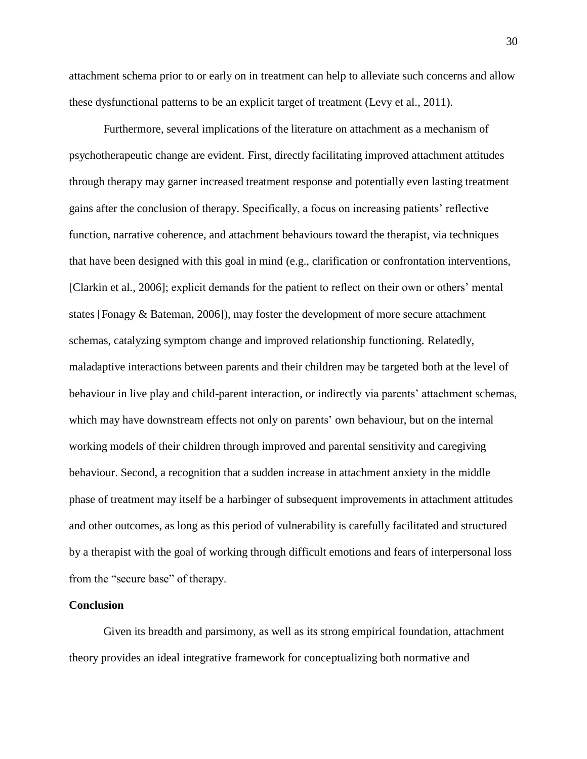attachment schema prior to or early on in treatment can help to alleviate such concerns and allow these dysfunctional patterns to be an explicit target of treatment (Levy et al., 2011).

Furthermore, several implications of the literature on attachment as a mechanism of psychotherapeutic change are evident. First, directly facilitating improved attachment attitudes through therapy may garner increased treatment response and potentially even lasting treatment gains after the conclusion of therapy. Specifically, a focus on increasing patients' reflective function, narrative coherence, and attachment behaviours toward the therapist, via techniques that have been designed with this goal in mind (e.g., clarification or confrontation interventions, [Clarkin et al., 2006]; explicit demands for the patient to reflect on their own or others' mental states [Fonagy & Bateman, 2006]), may foster the development of more secure attachment schemas, catalyzing symptom change and improved relationship functioning. Relatedly, maladaptive interactions between parents and their children may be targeted both at the level of behaviour in live play and child-parent interaction, or indirectly via parents' attachment schemas, which may have downstream effects not only on parents' own behaviour, but on the internal working models of their children through improved and parental sensitivity and caregiving behaviour. Second, a recognition that a sudden increase in attachment anxiety in the middle phase of treatment may itself be a harbinger of subsequent improvements in attachment attitudes and other outcomes, as long as this period of vulnerability is carefully facilitated and structured by a therapist with the goal of working through difficult emotions and fears of interpersonal loss from the "secure base" of therapy.

#### **Conclusion**

Given its breadth and parsimony, as well as its strong empirical foundation, attachment theory provides an ideal integrative framework for conceptualizing both normative and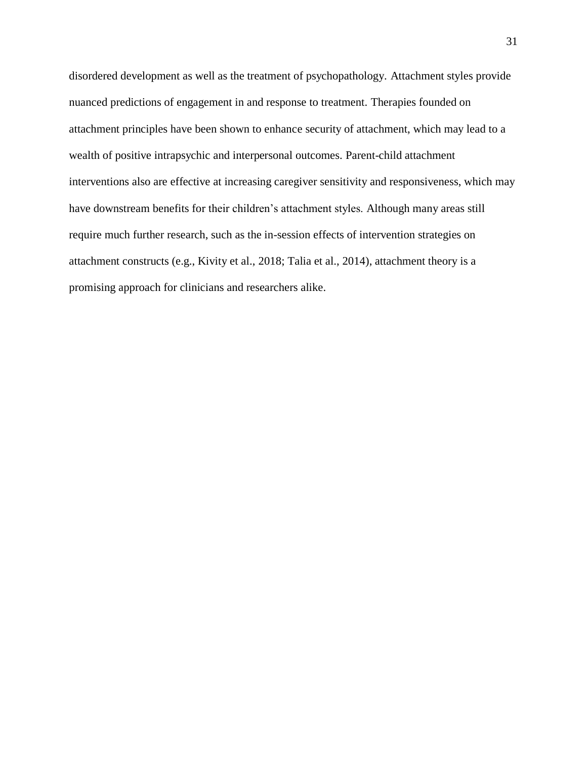disordered development as well as the treatment of psychopathology. Attachment styles provide nuanced predictions of engagement in and response to treatment. Therapies founded on attachment principles have been shown to enhance security of attachment, which may lead to a wealth of positive intrapsychic and interpersonal outcomes. Parent-child attachment interventions also are effective at increasing caregiver sensitivity and responsiveness, which may have downstream benefits for their children's attachment styles. Although many areas still require much further research, such as the in-session effects of intervention strategies on attachment constructs (e.g., Kivity et al., 2018; Talia et al., 2014), attachment theory is a promising approach for clinicians and researchers alike.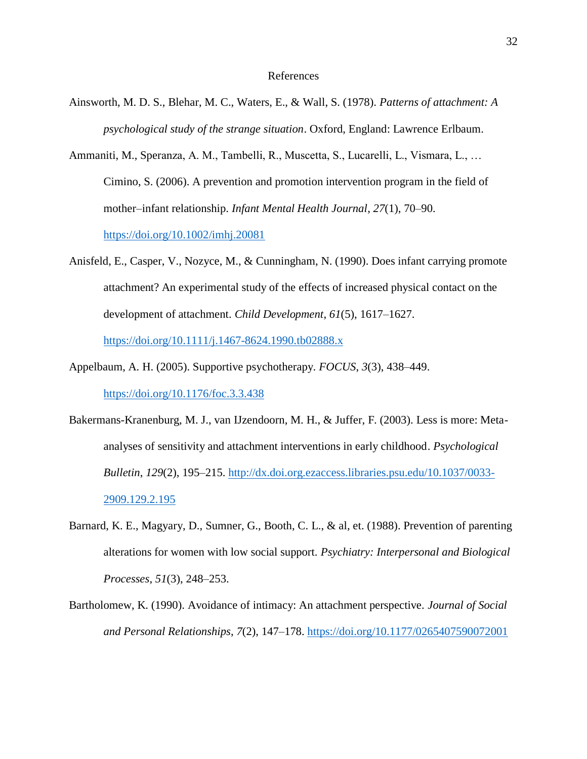#### References

- Ainsworth, M. D. S., Blehar, M. C., Waters, E., & Wall, S. (1978). *Patterns of attachment: A psychological study of the strange situation*. Oxford, England: Lawrence Erlbaum.
- Ammaniti, M., Speranza, A. M., Tambelli, R., Muscetta, S., Lucarelli, L., Vismara, L., … Cimino, S. (2006). A prevention and promotion intervention program in the field of mother–infant relationship. *Infant Mental Health Journal*, *27*(1), 70–90. <https://doi.org/10.1002/imhj.20081>

Anisfeld, E., Casper, V., Nozyce, M., & Cunningham, N. (1990). Does infant carrying promote attachment? An experimental study of the effects of increased physical contact on the development of attachment. *Child Development*, *61*(5), 1617–1627. <https://doi.org/10.1111/j.1467-8624.1990.tb02888.x>

- Appelbaum, A. H. (2005). Supportive psychotherapy. *FOCUS*, *3*(3), 438–449. <https://doi.org/10.1176/foc.3.3.438>
- Bakermans-Kranenburg, M. J., van IJzendoorn, M. H., & Juffer, F. (2003). Less is more: Metaanalyses of sensitivity and attachment interventions in early childhood. *Psychological Bulletin*, *129*(2), 195–215. [http://dx.doi.org.ezaccess.libraries.psu.edu/10.1037/0033-](http://dx.doi.org.ezaccess.libraries.psu.edu/10.1037/0033-2909.129.2.195) [2909.129.2.195](http://dx.doi.org.ezaccess.libraries.psu.edu/10.1037/0033-2909.129.2.195)
- Barnard, K. E., Magyary, D., Sumner, G., Booth, C. L., & al, et. (1988). Prevention of parenting alterations for women with low social support. *Psychiatry: Interpersonal and Biological Processes*, *51*(3), 248–253.
- Bartholomew, K. (1990). Avoidance of intimacy: An attachment perspective. *Journal of Social and Personal Relationships*, *7*(2), 147–178.<https://doi.org/10.1177/0265407590072001>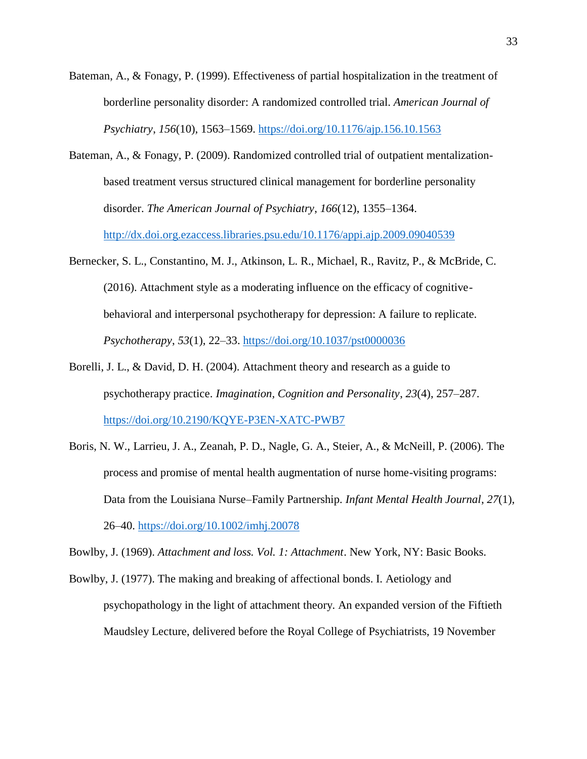- Bateman, A., & Fonagy, P. (1999). Effectiveness of partial hospitalization in the treatment of borderline personality disorder: A randomized controlled trial. *American Journal of Psychiatry*, *156*(10), 1563–1569.<https://doi.org/10.1176/ajp.156.10.1563>
- Bateman, A., & Fonagy, P. (2009). Randomized controlled trial of outpatient mentalizationbased treatment versus structured clinical management for borderline personality disorder. *The American Journal of Psychiatry*, *166*(12), 1355–1364. <http://dx.doi.org.ezaccess.libraries.psu.edu/10.1176/appi.ajp.2009.09040539>
- Bernecker, S. L., Constantino, M. J., Atkinson, L. R., Michael, R., Ravitz, P., & McBride, C. (2016). Attachment style as a moderating influence on the efficacy of cognitivebehavioral and interpersonal psychotherapy for depression: A failure to replicate. *Psychotherapy*, *53*(1), 22–33.<https://doi.org/10.1037/pst0000036>
- Borelli, J. L., & David, D. H. (2004). Attachment theory and research as a guide to psychotherapy practice. *Imagination, Cognition and Personality*, *23*(4), 257–287. <https://doi.org/10.2190/KQYE-P3EN-XATC-PWB7>
- Boris, N. W., Larrieu, J. A., Zeanah, P. D., Nagle, G. A., Steier, A., & McNeill, P. (2006). The process and promise of mental health augmentation of nurse home-visiting programs: Data from the Louisiana Nurse–Family Partnership. *Infant Mental Health Journal*, *27*(1), 26–40.<https://doi.org/10.1002/imhj.20078>

Bowlby, J. (1969). *Attachment and loss. Vol. 1: Attachment*. New York, NY: Basic Books.

Bowlby, J. (1977). The making and breaking of affectional bonds. I. Aetiology and psychopathology in the light of attachment theory. An expanded version of the Fiftieth Maudsley Lecture, delivered before the Royal College of Psychiatrists, 19 November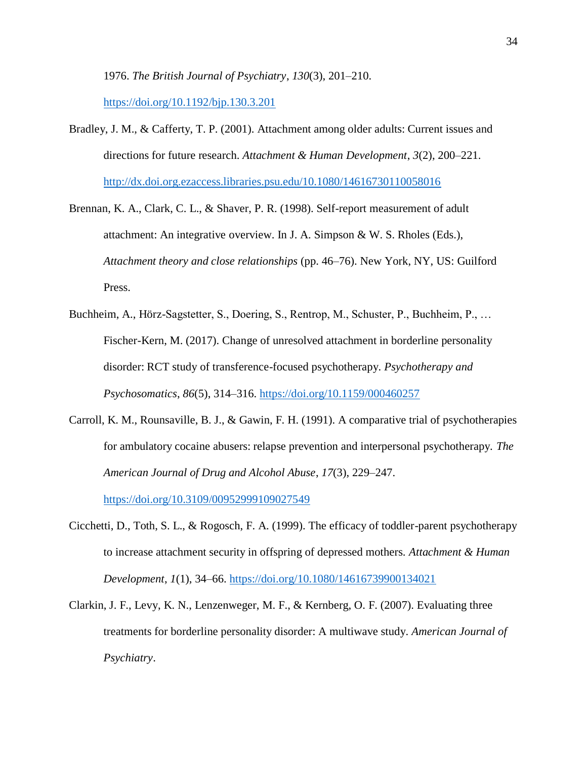1976. *The British Journal of Psychiatry*, *130*(3), 201–210.

<https://doi.org/10.1192/bjp.130.3.201>

- Bradley, J. M., & Cafferty, T. P. (2001). Attachment among older adults: Current issues and directions for future research. *Attachment & Human Development*, *3*(2), 200–221. <http://dx.doi.org.ezaccess.libraries.psu.edu/10.1080/14616730110058016>
- Brennan, K. A., Clark, C. L., & Shaver, P. R. (1998). Self-report measurement of adult attachment: An integrative overview. In J. A. Simpson & W. S. Rholes (Eds.), *Attachment theory and close relationships* (pp. 46–76). New York, NY, US: Guilford Press.
- Buchheim, A., Hörz-Sagstetter, S., Doering, S., Rentrop, M., Schuster, P., Buchheim, P., … Fischer-Kern, M. (2017). Change of unresolved attachment in borderline personality disorder: RCT study of transference-focused psychotherapy. *Psychotherapy and Psychosomatics*, *86*(5), 314–316.<https://doi.org/10.1159/000460257>
- Carroll, K. M., Rounsaville, B. J., & Gawin, F. H. (1991). A comparative trial of psychotherapies for ambulatory cocaine abusers: relapse prevention and interpersonal psychotherapy. *The American Journal of Drug and Alcohol Abuse*, *17*(3), 229–247. <https://doi.org/10.3109/00952999109027549>
- Cicchetti, D., Toth, S. L., & Rogosch, F. A. (1999). The efficacy of toddler-parent psychotherapy to increase attachment security in offspring of depressed mothers. *Attachment & Human Development*, *1*(1), 34–66.<https://doi.org/10.1080/14616739900134021>
- Clarkin, J. F., Levy, K. N., Lenzenweger, M. F., & Kernberg, O. F. (2007). Evaluating three treatments for borderline personality disorder: A multiwave study. *American Journal of Psychiatry*.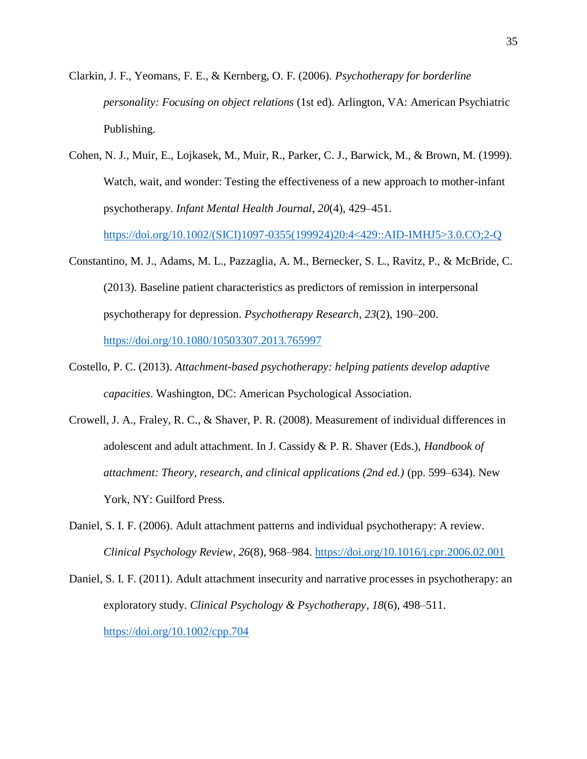- Clarkin, J. F., Yeomans, F. E., & Kernberg, O. F. (2006). *Psychotherapy for borderline personality: Focusing on object relations* (1st ed). Arlington, VA: American Psychiatric Publishing.
- Cohen, N. J., Muir, E., Lojkasek, M., Muir, R., Parker, C. J., Barwick, M., & Brown, M. (1999). Watch, wait, and wonder: Testing the effectiveness of a new approach to mother-infant psychotherapy. *Infant Mental Health Journal*, *20*(4), 429–451.

[https://doi.org/10.1002/\(SICI\)1097-0355\(199924\)20:4<429::AID-IMHJ5>3.0.CO;2-Q](https://doi.org/10.1002/(SICI)1097-0355(199924)20:4%3c429::AID-IMHJ5%3e3.0.CO;2-Q)

- Constantino, M. J., Adams, M. L., Pazzaglia, A. M., Bernecker, S. L., Ravitz, P., & McBride, C. (2013). Baseline patient characteristics as predictors of remission in interpersonal psychotherapy for depression. *Psychotherapy Research*, *23*(2), 190–200. <https://doi.org/10.1080/10503307.2013.765997>
- Costello, P. C. (2013). *Attachment-based psychotherapy: helping patients develop adaptive capacities*. Washington, DC: American Psychological Association.
- Crowell, J. A., Fraley, R. C., & Shaver, P. R. (2008). Measurement of individual differences in adolescent and adult attachment. In J. Cassidy & P. R. Shaver (Eds.), *Handbook of attachment: Theory, research, and clinical applications (2nd ed.)* (pp. 599–634). New York, NY: Guilford Press.
- Daniel, S. I. F. (2006). Adult attachment patterns and individual psychotherapy: A review. *Clinical Psychology Review*, *26*(8), 968–984.<https://doi.org/10.1016/j.cpr.2006.02.001>
- Daniel, S. I. F. (2011). Adult attachment insecurity and narrative processes in psychotherapy: an exploratory study. *Clinical Psychology & Psychotherapy*, *18*(6), 498–511. <https://doi.org/10.1002/cpp.704>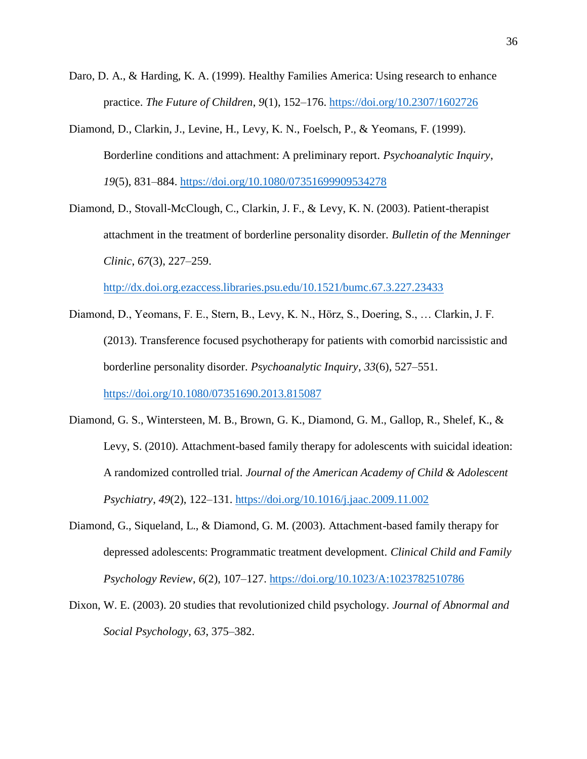- Daro, D. A., & Harding, K. A. (1999). Healthy Families America: Using research to enhance practice. *The Future of Children*, *9*(1), 152–176.<https://doi.org/10.2307/1602726>
- Diamond, D., Clarkin, J., Levine, H., Levy, K. N., Foelsch, P., & Yeomans, F. (1999). Borderline conditions and attachment: A preliminary report. *Psychoanalytic Inquiry*, *19*(5), 831–884.<https://doi.org/10.1080/07351699909534278>
- Diamond, D., Stovall-McClough, C., Clarkin, J. F., & Levy, K. N. (2003). Patient-therapist attachment in the treatment of borderline personality disorder. *Bulletin of the Menninger Clinic*, *67*(3), 227–259.

<http://dx.doi.org.ezaccess.libraries.psu.edu/10.1521/bumc.67.3.227.23433>

- Diamond, D., Yeomans, F. E., Stern, B., Levy, K. N., Hörz, S., Doering, S., … Clarkin, J. F. (2013). Transference focused psychotherapy for patients with comorbid narcissistic and borderline personality disorder. *Psychoanalytic Inquiry*, *33*(6), 527–551. <https://doi.org/10.1080/07351690.2013.815087>
- Diamond, G. S., Wintersteen, M. B., Brown, G. K., Diamond, G. M., Gallop, R., Shelef, K., & Levy, S. (2010). Attachment-based family therapy for adolescents with suicidal ideation: A randomized controlled trial. *Journal of the American Academy of Child & Adolescent Psychiatry*, *49*(2), 122–131.<https://doi.org/10.1016/j.jaac.2009.11.002>
- Diamond, G., Siqueland, L., & Diamond, G. M. (2003). Attachment-based family therapy for depressed adolescents: Programmatic treatment development. *Clinical Child and Family Psychology Review*, *6*(2), 107–127.<https://doi.org/10.1023/A:1023782510786>
- Dixon, W. E. (2003). 20 studies that revolutionized child psychology. *Journal of Abnormal and Social Psychology*, *63*, 375–382.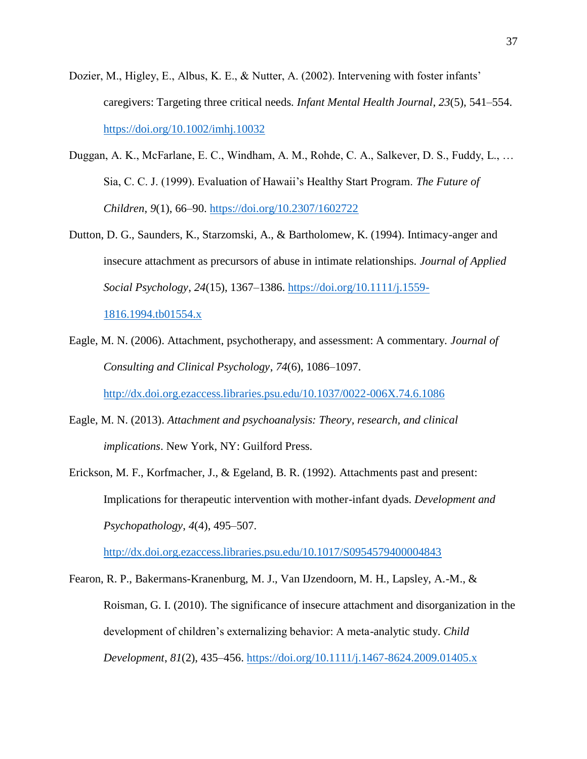- Dozier, M., Higley, E., Albus, K. E., & Nutter, A. (2002). Intervening with foster infants' caregivers: Targeting three critical needs. *Infant Mental Health Journal*, *23*(5), 541–554. <https://doi.org/10.1002/imhj.10032>
- Duggan, A. K., McFarlane, E. C., Windham, A. M., Rohde, C. A., Salkever, D. S., Fuddy, L., … Sia, C. C. J. (1999). Evaluation of Hawaii's Healthy Start Program. *The Future of Children*, *9*(1), 66–90.<https://doi.org/10.2307/1602722>
- Dutton, D. G., Saunders, K., Starzomski, A., & Bartholomew, K. (1994). Intimacy-anger and insecure attachment as precursors of abuse in intimate relationships. *Journal of Applied Social Psychology*, *24*(15), 1367–1386. [https://doi.org/10.1111/j.1559-](https://doi.org/10.1111/j.1559-1816.1994.tb01554.x)

[1816.1994.tb01554.x](https://doi.org/10.1111/j.1559-1816.1994.tb01554.x)

Eagle, M. N. (2006). Attachment, psychotherapy, and assessment: A commentary. *Journal of Consulting and Clinical Psychology*, *74*(6), 1086–1097.

<http://dx.doi.org.ezaccess.libraries.psu.edu/10.1037/0022-006X.74.6.1086>

- Eagle, M. N. (2013). *Attachment and psychoanalysis: Theory, research, and clinical implications*. New York, NY: Guilford Press.
- Erickson, M. F., Korfmacher, J., & Egeland, B. R. (1992). Attachments past and present: Implications for therapeutic intervention with mother-infant dyads. *Development and Psychopathology*, *4*(4), 495–507.

<http://dx.doi.org.ezaccess.libraries.psu.edu/10.1017/S0954579400004843>

Fearon, R. P., Bakermans-Kranenburg, M. J., Van IJzendoorn, M. H., Lapsley, A.-M., & Roisman, G. I. (2010). The significance of insecure attachment and disorganization in the development of children's externalizing behavior: A meta-analytic study. *Child Development*, *81*(2), 435–456.<https://doi.org/10.1111/j.1467-8624.2009.01405.x>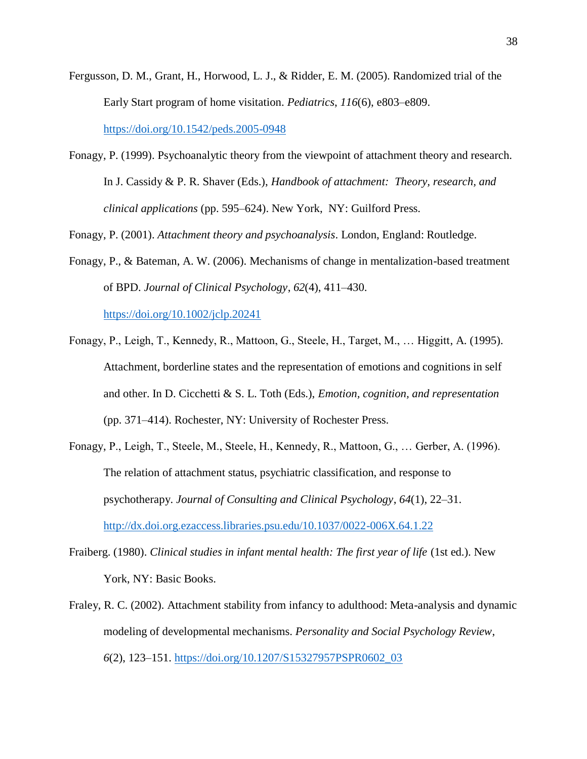- Fergusson, D. M., Grant, H., Horwood, L. J., & Ridder, E. M. (2005). Randomized trial of the Early Start program of home visitation. *Pediatrics*, *116*(6), e803–e809. <https://doi.org/10.1542/peds.2005-0948>
- Fonagy, P. (1999). Psychoanalytic theory from the viewpoint of attachment theory and research. In J. Cassidy & P. R. Shaver (Eds.), *Handbook of attachment: Theory, research, and clinical applications* (pp. 595–624). New York, NY: Guilford Press.

Fonagy, P. (2001). *Attachment theory and psychoanalysis*. London, England: Routledge.

Fonagy, P., & Bateman, A. W. (2006). Mechanisms of change in mentalization-based treatment of BPD. *Journal of Clinical Psychology*, *62*(4), 411–430.

<https://doi.org/10.1002/jclp.20241>

- Fonagy, P., Leigh, T., Kennedy, R., Mattoon, G., Steele, H., Target, M., … Higgitt, A. (1995). Attachment, borderline states and the representation of emotions and cognitions in self and other. In D. Cicchetti & S. L. Toth (Eds.), *Emotion, cognition, and representation* (pp. 371–414). Rochester, NY: University of Rochester Press.
- Fonagy, P., Leigh, T., Steele, M., Steele, H., Kennedy, R., Mattoon, G., … Gerber, A. (1996). The relation of attachment status, psychiatric classification, and response to psychotherapy. *Journal of Consulting and Clinical Psychology*, *64*(1), 22–31. <http://dx.doi.org.ezaccess.libraries.psu.edu/10.1037/0022-006X.64.1.22>
- Fraiberg. (1980). *Clinical studies in infant mental health: The first year of life* (1st ed.). New York, NY: Basic Books.
- Fraley, R. C. (2002). Attachment stability from infancy to adulthood: Meta-analysis and dynamic modeling of developmental mechanisms. *Personality and Social Psychology Review*, *6*(2), 123–151. [https://doi.org/10.1207/S15327957PSPR0602\\_03](https://doi.org/10.1207/S15327957PSPR0602_03)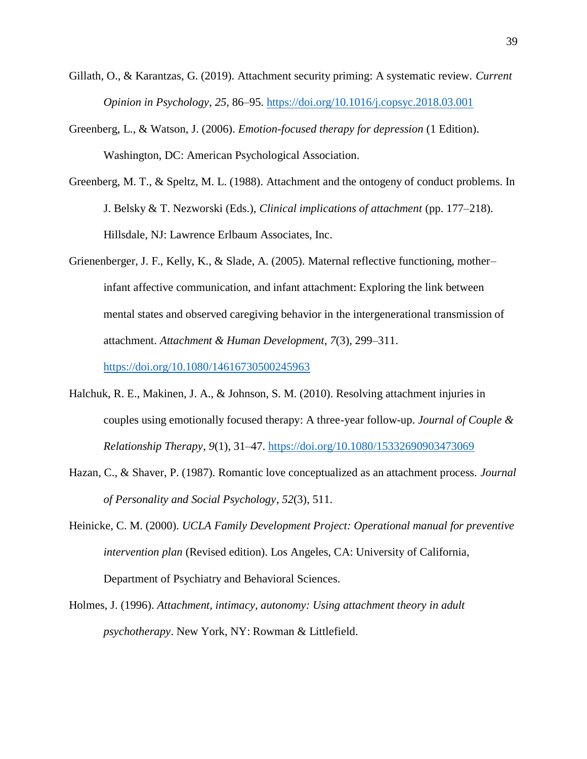- Gillath, O., & Karantzas, G. (2019). Attachment security priming: A systematic review. *Current Opinion in Psychology*, *25*, 86–95.<https://doi.org/10.1016/j.copsyc.2018.03.001>
- Greenberg, L., & Watson, J. (2006). *Emotion-focused therapy for depression* (1 Edition). Washington, DC: American Psychological Association.
- Greenberg, M. T., & Speltz, M. L. (1988). Attachment and the ontogeny of conduct problems. In J. Belsky & T. Nezworski (Eds.), *Clinical implications of attachment* (pp. 177–218). Hillsdale, NJ: Lawrence Erlbaum Associates, Inc.
- Grienenberger, J. F., Kelly, K., & Slade, A. (2005). Maternal reflective functioning, mother– infant affective communication, and infant attachment: Exploring the link between mental states and observed caregiving behavior in the intergenerational transmission of attachment. *Attachment & Human Development*, *7*(3), 299–311.

<https://doi.org/10.1080/14616730500245963>

- Halchuk, R. E., Makinen, J. A., & Johnson, S. M. (2010). Resolving attachment injuries in couples using emotionally focused therapy: A three-year follow-up. *Journal of Couple & Relationship Therapy*, *9*(1), 31–47.<https://doi.org/10.1080/15332690903473069>
- Hazan, C., & Shaver, P. (1987). Romantic love conceptualized as an attachment process. *Journal of Personality and Social Psychology*, *52*(3), 511.
- Heinicke, C. M. (2000). *UCLA Family Development Project: Operational manual for preventive intervention plan* (Revised edition). Los Angeles, CA: University of California, Department of Psychiatry and Behavioral Sciences.
- Holmes, J. (1996). *Attachment, intimacy, autonomy: Using attachment theory in adult psychotherapy*. New York, NY: Rowman & Littlefield.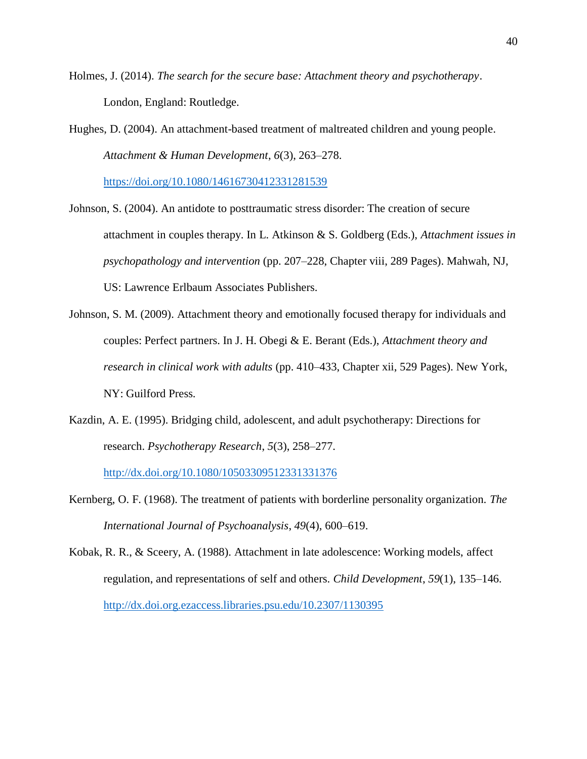- Holmes, J. (2014). *The search for the secure base: Attachment theory and psychotherapy*. London, England: Routledge.
- Hughes, D. (2004). An attachment-based treatment of maltreated children and young people. *Attachment & Human Development*, *6*(3), 263–278.

<https://doi.org/10.1080/14616730412331281539>

- Johnson, S. (2004). An antidote to posttraumatic stress disorder: The creation of secure attachment in couples therapy. In L. Atkinson & S. Goldberg (Eds.), *Attachment issues in psychopathology and intervention* (pp. 207–228, Chapter viii, 289 Pages). Mahwah, NJ, US: Lawrence Erlbaum Associates Publishers.
- Johnson, S. M. (2009). Attachment theory and emotionally focused therapy for individuals and couples: Perfect partners. In J. H. Obegi & E. Berant (Eds.), *Attachment theory and research in clinical work with adults* (pp. 410–433, Chapter xii, 529 Pages). New York, NY: Guilford Press.
- Kazdin, A. E. (1995). Bridging child, adolescent, and adult psychotherapy: Directions for research. *Psychotherapy Research*, *5*(3), 258–277.

<http://dx.doi.org/10.1080/10503309512331331376>

- Kernberg, O. F. (1968). The treatment of patients with borderline personality organization. *The International Journal of Psychoanalysis*, *49*(4), 600–619.
- Kobak, R. R., & Sceery, A. (1988). Attachment in late adolescence: Working models, affect regulation, and representations of self and others. *Child Development*, *59*(1), 135–146. <http://dx.doi.org.ezaccess.libraries.psu.edu/10.2307/1130395>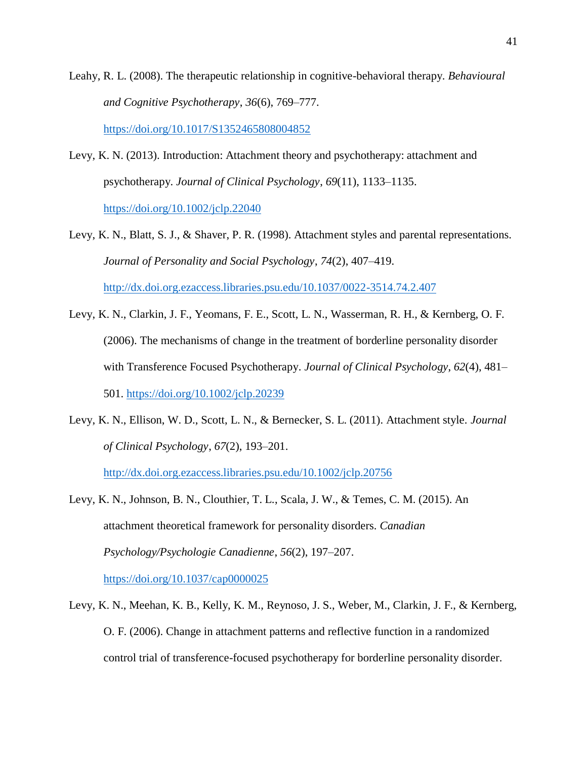Leahy, R. L. (2008). The therapeutic relationship in cognitive-behavioral therapy. *Behavioural and Cognitive Psychotherapy*, *36*(6), 769–777.

<https://doi.org/10.1017/S1352465808004852>

- Levy, K. N. (2013). Introduction: Attachment theory and psychotherapy: attachment and psychotherapy. *Journal of Clinical Psychology*, *69*(11), 1133–1135. <https://doi.org/10.1002/jclp.22040>
- Levy, K. N., Blatt, S. J., & Shaver, P. R. (1998). Attachment styles and parental representations. *Journal of Personality and Social Psychology*, *74*(2), 407–419. <http://dx.doi.org.ezaccess.libraries.psu.edu/10.1037/0022-3514.74.2.407>
- Levy, K. N., Clarkin, J. F., Yeomans, F. E., Scott, L. N., Wasserman, R. H., & Kernberg, O. F. (2006). The mechanisms of change in the treatment of borderline personality disorder with Transference Focused Psychotherapy. *Journal of Clinical Psychology*, *62*(4), 481– 501.<https://doi.org/10.1002/jclp.20239>
- Levy, K. N., Ellison, W. D., Scott, L. N., & Bernecker, S. L. (2011). Attachment style. *Journal of Clinical Psychology*, *67*(2), 193–201.

<http://dx.doi.org.ezaccess.libraries.psu.edu/10.1002/jclp.20756>

- Levy, K. N., Johnson, B. N., Clouthier, T. L., Scala, J. W., & Temes, C. M. (2015). An attachment theoretical framework for personality disorders. *Canadian Psychology/Psychologie Canadienne*, *56*(2), 197–207. <https://doi.org/10.1037/cap0000025>
- Levy, K. N., Meehan, K. B., Kelly, K. M., Reynoso, J. S., Weber, M., Clarkin, J. F., & Kernberg, O. F. (2006). Change in attachment patterns and reflective function in a randomized control trial of transference-focused psychotherapy for borderline personality disorder.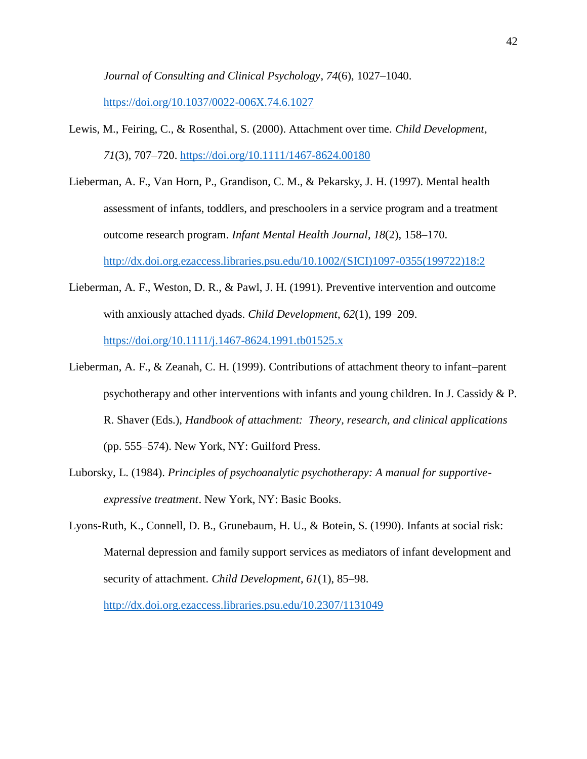*Journal of Consulting and Clinical Psychology*, *74*(6), 1027–1040.

<https://doi.org/10.1037/0022-006X.74.6.1027>

- Lewis, M., Feiring, C., & Rosenthal, S. (2000). Attachment over time. *Child Development*, *71*(3), 707–720.<https://doi.org/10.1111/1467-8624.00180>
- Lieberman, A. F., Van Horn, P., Grandison, C. M., & Pekarsky, J. H. (1997). Mental health assessment of infants, toddlers, and preschoolers in a service program and a treatment outcome research program. *Infant Mental Health Journal*, *18*(2), 158–170. [http://dx.doi.org.ezaccess.libraries.psu.edu/10.1002/\(SICI\)1097-0355\(199722\)18:2](http://dx.doi.org.ezaccess.libraries.psu.edu/10.1002/(SICI)1097-0355(199722)18:2)
- Lieberman, A. F., Weston, D. R., & Pawl, J. H. (1991). Preventive intervention and outcome with anxiously attached dyads. *Child Development*, *62*(1), 199–209. <https://doi.org/10.1111/j.1467-8624.1991.tb01525.x>
- Lieberman, A. F., & Zeanah, C. H. (1999). Contributions of attachment theory to infant–parent psychotherapy and other interventions with infants and young children. In J. Cassidy & P. R. Shaver (Eds.), *Handbook of attachment: Theory, research, and clinical applications* (pp. 555–574). New York, NY: Guilford Press.
- Luborsky, L. (1984). *Principles of psychoanalytic psychotherapy: A manual for supportiveexpressive treatment*. New York, NY: Basic Books.
- Lyons-Ruth, K., Connell, D. B., Grunebaum, H. U., & Botein, S. (1990). Infants at social risk: Maternal depression and family support services as mediators of infant development and security of attachment. *Child Development*, *61*(1), 85–98.

<http://dx.doi.org.ezaccess.libraries.psu.edu/10.2307/1131049>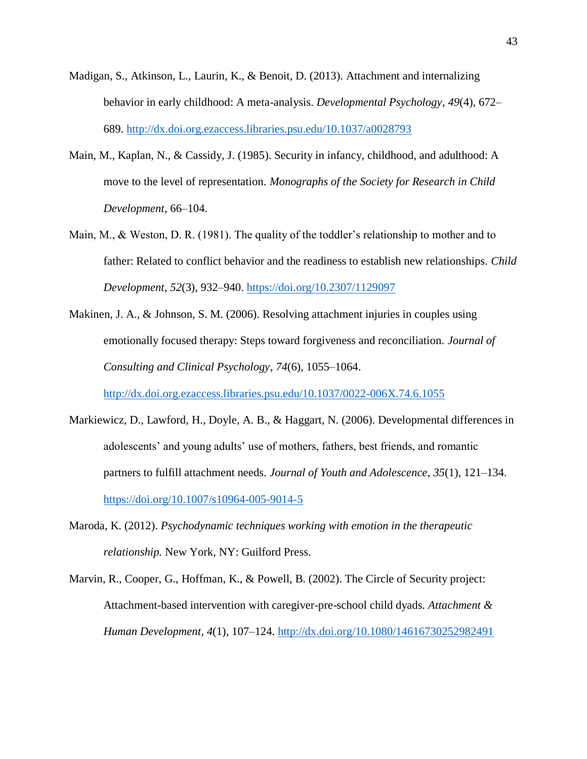- Madigan, S., Atkinson, L., Laurin, K., & Benoit, D. (2013). Attachment and internalizing behavior in early childhood: A meta-analysis. *Developmental Psychology*, *49*(4), 672– 689.<http://dx.doi.org.ezaccess.libraries.psu.edu/10.1037/a0028793>
- Main, M., Kaplan, N., & Cassidy, J. (1985). Security in infancy, childhood, and adulthood: A move to the level of representation. *Monographs of the Society for Research in Child Development*, 66–104.
- Main, M., & Weston, D. R. (1981). The quality of the toddler's relationship to mother and to father: Related to conflict behavior and the readiness to establish new relationships. *Child Development*, *52*(3), 932–940.<https://doi.org/10.2307/1129097>
- Makinen, J. A., & Johnson, S. M. (2006). Resolving attachment injuries in couples using emotionally focused therapy: Steps toward forgiveness and reconciliation. *Journal of Consulting and Clinical Psychology*, *74*(6), 1055–1064.

<http://dx.doi.org.ezaccess.libraries.psu.edu/10.1037/0022-006X.74.6.1055>

- Markiewicz, D., Lawford, H., Doyle, A. B., & Haggart, N. (2006). Developmental differences in adolescents' and young adults' use of mothers, fathers, best friends, and romantic partners to fulfill attachment needs. *Journal of Youth and Adolescence*, *35*(1), 121–134. <https://doi.org/10.1007/s10964-005-9014-5>
- Maroda, K. (2012). *Psychodynamic techniques working with emotion in the therapeutic relationship.* New York, NY: Guilford Press.
- Marvin, R., Cooper, G., Hoffman, K., & Powell, B. (2002). The Circle of Security project: Attachment-based intervention with caregiver-pre-school child dyads. *Attachment & Human Development*, *4*(1), 107–124.<http://dx.doi.org/10.1080/14616730252982491>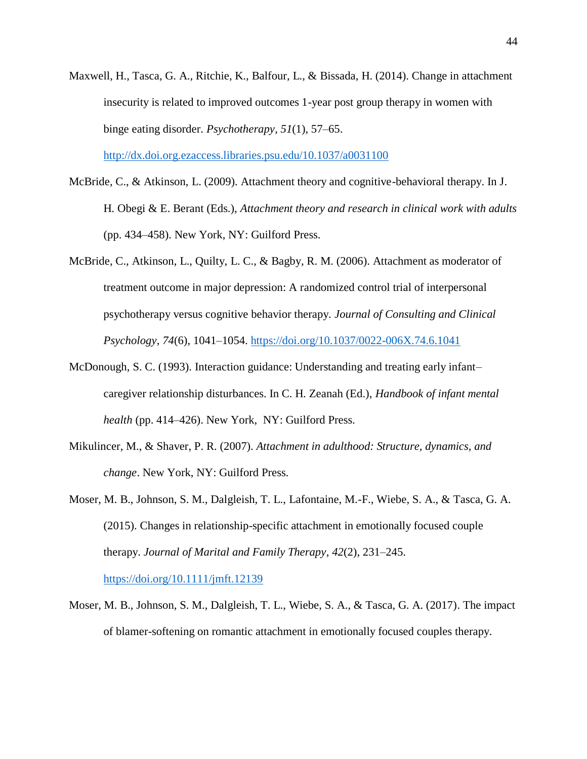Maxwell, H., Tasca, G. A., Ritchie, K., Balfour, L., & Bissada, H. (2014). Change in attachment insecurity is related to improved outcomes 1-year post group therapy in women with binge eating disorder. *Psychotherapy*, *51*(1), 57–65.

<http://dx.doi.org.ezaccess.libraries.psu.edu/10.1037/a0031100>

- McBride, C., & Atkinson, L. (2009). Attachment theory and cognitive-behavioral therapy. In J. H. Obegi & E. Berant (Eds.), *Attachment theory and research in clinical work with adults* (pp. 434–458). New York, NY: Guilford Press.
- McBride, C., Atkinson, L., Quilty, L. C., & Bagby, R. M. (2006). Attachment as moderator of treatment outcome in major depression: A randomized control trial of interpersonal psychotherapy versus cognitive behavior therapy. *Journal of Consulting and Clinical Psychology*, *74*(6), 1041–1054.<https://doi.org/10.1037/0022-006X.74.6.1041>
- McDonough, S. C. (1993). Interaction guidance: Understanding and treating early infant– caregiver relationship disturbances. In C. H. Zeanah (Ed.), *Handbook of infant mental health* (pp. 414–426). New York, NY: Guilford Press.
- Mikulincer, M., & Shaver, P. R. (2007). *Attachment in adulthood: Structure, dynamics, and change*. New York, NY: Guilford Press.
- Moser, M. B., Johnson, S. M., Dalgleish, T. L., Lafontaine, M.-F., Wiebe, S. A., & Tasca, G. A. (2015). Changes in relationship-specific attachment in emotionally focused couple therapy. *Journal of Marital and Family Therapy*, *42*(2), 231–245. <https://doi.org/10.1111/jmft.12139>
- Moser, M. B., Johnson, S. M., Dalgleish, T. L., Wiebe, S. A., & Tasca, G. A. (2017). The impact of blamer-softening on romantic attachment in emotionally focused couples therapy.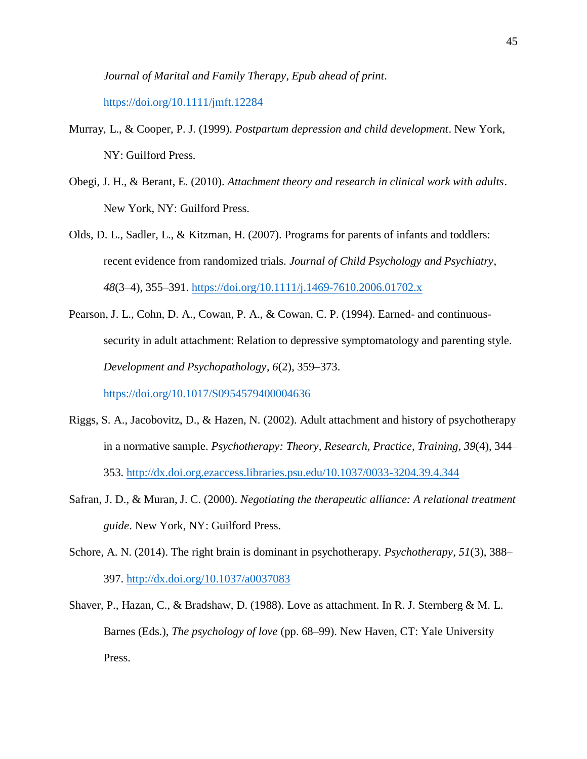*Journal of Marital and Family Therapy*, *Epub ahead of print*.

<https://doi.org/10.1111/jmft.12284>

- Murray, L., & Cooper, P. J. (1999). *Postpartum depression and child development*. New York, NY: Guilford Press.
- Obegi, J. H., & Berant, E. (2010). *Attachment theory and research in clinical work with adults*. New York, NY: Guilford Press.
- Olds, D. L., Sadler, L., & Kitzman, H. (2007). Programs for parents of infants and toddlers: recent evidence from randomized trials. *Journal of Child Psychology and Psychiatry*, *48*(3–4), 355–391.<https://doi.org/10.1111/j.1469-7610.2006.01702.x>
- Pearson, J. L., Cohn, D. A., Cowan, P. A., & Cowan, C. P. (1994). Earned- and continuoussecurity in adult attachment: Relation to depressive symptomatology and parenting style. *Development and Psychopathology*, *6*(2), 359–373.

<https://doi.org/10.1017/S0954579400004636>

- Riggs, S. A., Jacobovitz, D., & Hazen, N. (2002). Adult attachment and history of psychotherapy in a normative sample. *Psychotherapy: Theory, Research, Practice, Training*, *39*(4), 344– 353.<http://dx.doi.org.ezaccess.libraries.psu.edu/10.1037/0033-3204.39.4.344>
- Safran, J. D., & Muran, J. C. (2000). *Negotiating the therapeutic alliance: A relational treatment guide*. New York, NY: Guilford Press.
- Schore, A. N. (2014). The right brain is dominant in psychotherapy. *Psychotherapy*, *51*(3), 388– 397.<http://dx.doi.org/10.1037/a0037083>
- Shaver, P., Hazan, C., & Bradshaw, D. (1988). Love as attachment. In R. J. Sternberg & M. L. Barnes (Eds.), *The psychology of love* (pp. 68–99). New Haven, CT: Yale University Press.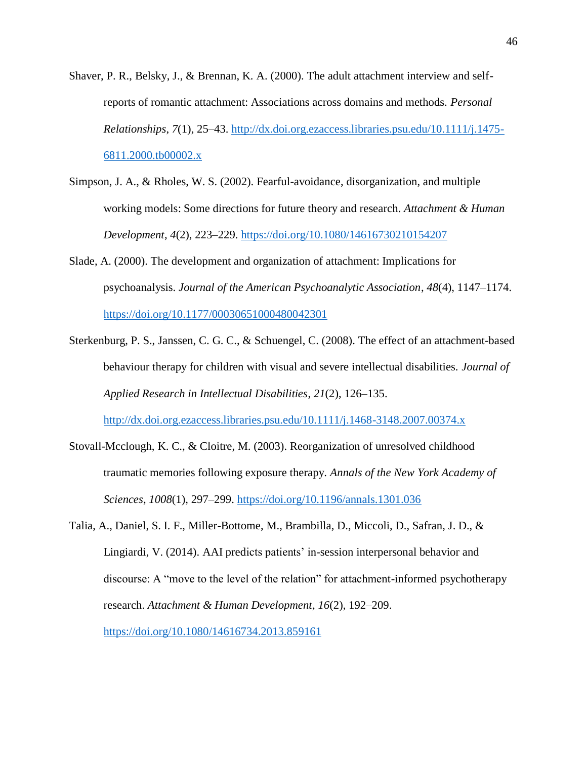- Shaver, P. R., Belsky, J., & Brennan, K. A. (2000). The adult attachment interview and selfreports of romantic attachment: Associations across domains and methods. *Personal Relationships*, *7*(1), 25–43. [http://dx.doi.org.ezaccess.libraries.psu.edu/10.1111/j.1475-](http://dx.doi.org.ezaccess.libraries.psu.edu/10.1111/j.1475-6811.2000.tb00002.x) [6811.2000.tb00002.x](http://dx.doi.org.ezaccess.libraries.psu.edu/10.1111/j.1475-6811.2000.tb00002.x)
- Simpson, J. A., & Rholes, W. S. (2002). Fearful-avoidance, disorganization, and multiple working models: Some directions for future theory and research. *Attachment & Human Development*, *4*(2), 223–229.<https://doi.org/10.1080/14616730210154207>
- Slade, A. (2000). The development and organization of attachment: Implications for psychoanalysis. *Journal of the American Psychoanalytic Association*, *48*(4), 1147–1174. <https://doi.org/10.1177/00030651000480042301>
- Sterkenburg, P. S., Janssen, C. G. C., & Schuengel, C. (2008). The effect of an attachment-based behaviour therapy for children with visual and severe intellectual disabilities. *Journal of Applied Research in Intellectual Disabilities*, *21*(2), 126–135. <http://dx.doi.org.ezaccess.libraries.psu.edu/10.1111/j.1468-3148.2007.00374.x>
- Stovall-Mcclough, K. C., & Cloitre, M. (2003). Reorganization of unresolved childhood traumatic memories following exposure therapy. *Annals of the New York Academy of Sciences*, *1008*(1), 297–299.<https://doi.org/10.1196/annals.1301.036>
- Talia, A., Daniel, S. I. F., Miller-Bottome, M., Brambilla, D., Miccoli, D., Safran, J. D., & Lingiardi, V. (2014). AAI predicts patients' in-session interpersonal behavior and discourse: A "move to the level of the relation" for attachment-informed psychotherapy research. *Attachment & Human Development*, *16*(2), 192–209. <https://doi.org/10.1080/14616734.2013.859161>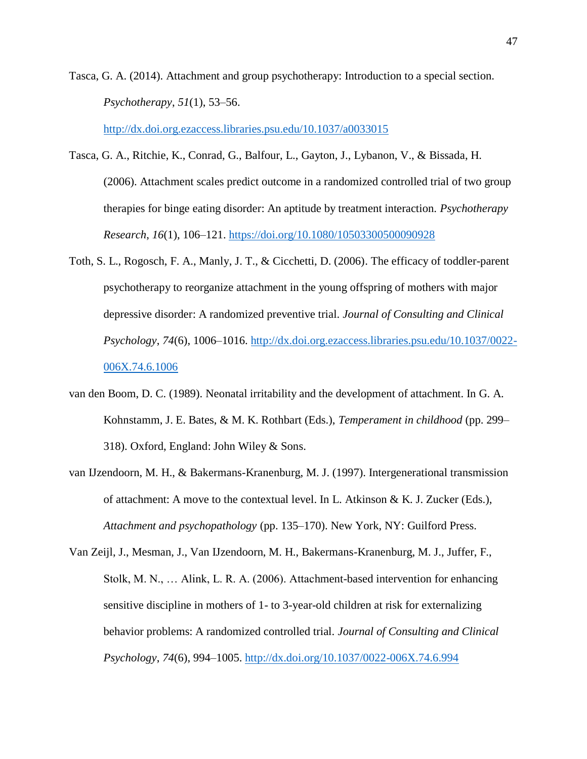Tasca, G. A. (2014). Attachment and group psychotherapy: Introduction to a special section. *Psychotherapy*, *51*(1), 53–56.

<http://dx.doi.org.ezaccess.libraries.psu.edu/10.1037/a0033015>

- Tasca, G. A., Ritchie, K., Conrad, G., Balfour, L., Gayton, J., Lybanon, V., & Bissada, H. (2006). Attachment scales predict outcome in a randomized controlled trial of two group therapies for binge eating disorder: An aptitude by treatment interaction. *Psychotherapy Research*, *16*(1), 106–121.<https://doi.org/10.1080/10503300500090928>
- Toth, S. L., Rogosch, F. A., Manly, J. T., & Cicchetti, D. (2006). The efficacy of toddler-parent psychotherapy to reorganize attachment in the young offspring of mothers with major depressive disorder: A randomized preventive trial. *Journal of Consulting and Clinical Psychology*, *74*(6), 1006–1016. [http://dx.doi.org.ezaccess.libraries.psu.edu/10.1037/0022-](http://dx.doi.org.ezaccess.libraries.psu.edu/10.1037/0022-006X.74.6.1006) [006X.74.6.1006](http://dx.doi.org.ezaccess.libraries.psu.edu/10.1037/0022-006X.74.6.1006)
- van den Boom, D. C. (1989). Neonatal irritability and the development of attachment. In G. A. Kohnstamm, J. E. Bates, & M. K. Rothbart (Eds.), *Temperament in childhood* (pp. 299– 318). Oxford, England: John Wiley & Sons.
- van IJzendoorn, M. H., & Bakermans-Kranenburg, M. J. (1997). Intergenerational transmission of attachment: A move to the contextual level. In L. Atkinson & K. J. Zucker (Eds.), *Attachment and psychopathology* (pp. 135–170). New York, NY: Guilford Press.
- Van Zeijl, J., Mesman, J., Van IJzendoorn, M. H., Bakermans-Kranenburg, M. J., Juffer, F., Stolk, M. N., … Alink, L. R. A. (2006). Attachment-based intervention for enhancing sensitive discipline in mothers of 1- to 3-year-old children at risk for externalizing behavior problems: A randomized controlled trial. *Journal of Consulting and Clinical Psychology*, *74*(6), 994–1005.<http://dx.doi.org/10.1037/0022-006X.74.6.994>